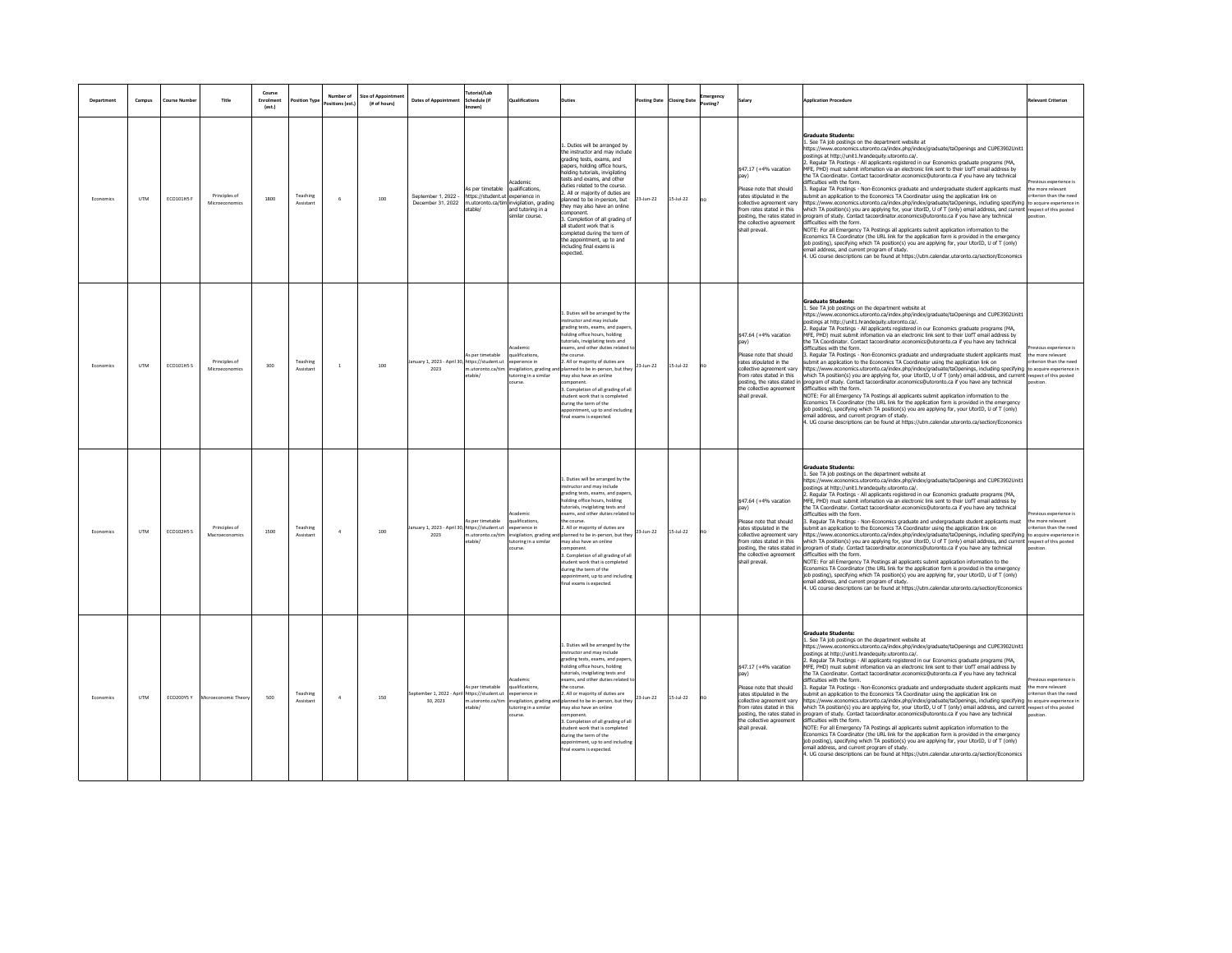| Department | Campus     | Course Numbe | Title                           | Course<br>Enrolment<br>(est.) | <b>Position Type</b>  | Number of<br>ze of Appoint<br>(# of hours)<br>sitions (est | <b>Dates of Annointment</b>                              | <b>Futorial/Lab</b><br>Schedule fif<br>lmwr                            | lualifications                                                                                           | بمثاد                                                                                                                                                                                                                                                                                                                                                                                                                                                                                                          | osting Date | <b>Closing Date</b> | nergency |                                                                                                                                                                                                                            | <b>Annlication Procedure</b><br>elevant Criterion                                                                                                                                                                                                                                                                                                                                                                                                                                                                                                                                                                                                                                                                                                                                                                                                                                                                                                                                                                                                                                                                                                                                                                                                                                                                                                                                                                                                                                                                                                                                                                                                       |
|------------|------------|--------------|---------------------------------|-------------------------------|-----------------------|------------------------------------------------------------|----------------------------------------------------------|------------------------------------------------------------------------|----------------------------------------------------------------------------------------------------------|----------------------------------------------------------------------------------------------------------------------------------------------------------------------------------------------------------------------------------------------------------------------------------------------------------------------------------------------------------------------------------------------------------------------------------------------------------------------------------------------------------------|-------------|---------------------|----------|----------------------------------------------------------------------------------------------------------------------------------------------------------------------------------------------------------------------------|---------------------------------------------------------------------------------------------------------------------------------------------------------------------------------------------------------------------------------------------------------------------------------------------------------------------------------------------------------------------------------------------------------------------------------------------------------------------------------------------------------------------------------------------------------------------------------------------------------------------------------------------------------------------------------------------------------------------------------------------------------------------------------------------------------------------------------------------------------------------------------------------------------------------------------------------------------------------------------------------------------------------------------------------------------------------------------------------------------------------------------------------------------------------------------------------------------------------------------------------------------------------------------------------------------------------------------------------------------------------------------------------------------------------------------------------------------------------------------------------------------------------------------------------------------------------------------------------------------------------------------------------------------|
| Economics  | <b>UTM</b> | ECO101HS F   | Principles of<br>Microeconomics | 1800                          | Teaching<br>Assistant | 100                                                        | Sentember 1 2022<br>December 31 2022                     | As per timetable<br>https://student.ut<br>m.utoronto.ca/tim li<br>able | cademic<br>qualifications<br>xperience in<br>nvigilation, grading<br>and tutoring in a<br>imilar course. | . Duties will be arranged by<br>the instructor and may include<br>rading tests, exams, and<br>papers, holding office hours.<br>holding tutorials, invigilating<br>tests and exams, and other<br>duties related to the course.<br>All or majority of duties are<br>planned to be in-person, but<br>hey may also have an online<br>mponent.<br>3. Completion of all grading of<br>all student work that is<br>completed during the term of<br>the appointment, up to and<br>including final exams is<br>xpected. | 23-Jun-22   | $15 -$ Jul-22       |          | \$47.17 (+4% vacation<br>pav)<br>Please note that should<br>rates stinulated in the<br>collective agreement vary<br>from rates stated in this<br>posting, the rates stated<br>the collective agreement<br>shall prevail.   | <b>Graduate Students:</b><br>1. See TA job postings on the department website at<br>https://www.economics.utoronto.ca/index.php/index/graduate/taOpenings and CUPE3902Unit1<br>stings at http://unit1.hrandeguity.utoronto.ca/.<br>. Regular TA Postings - All applicants registered in our Economics graduate programs (MA,<br>FE, PHD) must submit infomation via an electronic link sent to their UofT email address by<br>the TA Coordinator. Contact tacoordinator.economics@utoronto.ca if you have any technical<br>difficulties with the form.<br>evinus experience is<br>3. Regular TA Postings - Non-Economics graduate and undergraduate student applicants must<br>the more relevant<br>submit an application to the Economics TA Coordinator using the application link on<br>iterion than the need<br>https://www.economics.utoronto.ca/index.php/index/graduate/taOpenings. including specifying to acquire experience in<br>which TA position(s) you are applying for, your UtorID, U of T (only) email address. and current<br>espect of this posted<br>program of study. Contact tacoordinator economics@utoronto.ca if you have any technical<br>osition<br>difficulties with the form.<br>NOTE: For all Emergency TA Postings all applicants submit application information to the<br>Economics TA Coordinator (the URL link for the application form is provided in the emergency<br>job posting), specifying which TA position(s) you are applying for, your UtorID, U of T (only)<br>mail address, and current program of study.<br>4. UG course descriptions can be found at https://utm.calendar.utoronto.ca/section/Economics |
| Economics  | <b>UTM</b> | ECO101HS S   | Principles of<br>Microeconomics | 300                           | Teaching<br>Assistant | 100<br>$\mathbf{1}$                                        | anuary 1, 2023 - April 30, https://student.ut<br>2023    | is per timetable<br>n.utoronto.ca/tim<br>etable/                       | ademio<br><b>alifications</b><br>merience in<br>vigilation, grading a<br>utoring in a similar<br>urse    | Duties will be arranged by the<br>structor and may include<br>ading tests, exams, and paper<br>olding office hours, holding<br>utorials, invigilating tests and<br>ams, and other duties related to<br>e course<br>. All or majority of duties are<br>planned to be in-person, but they<br>may also have an online<br>3. Completion of all grading of all<br>tudent work that is completed<br>luring the term of the<br>poointment, up to and including<br>inal exams is expected.                             | 23-Jun-22   | $15 -  u  - 22$     |          | \$47.64 (+4% vacation<br>pav)<br>Please note that should<br>rates stipulated in the<br>collective agreement vary<br>from rates stated in this<br>posting, the rates stated i<br>the collective agreement<br>shall prevail. | <b>Graduate Students:</b><br>1. See TA job postings on the department website at<br>https://www.economics.utoronto.ca/index.php/index/graduate/taOpenings and CUPE3902Unit1<br>postings at http://unit1.hrandeguity.utoronto.ca/.<br>2. Regular TA Postings - All applicants registered in our Economics graduate programs (MA,<br>MFE, PHD) must submit infomation via an electronic link sent to their UofT email address by<br>the TA Coordinator. Contact tacoordinator.economics@utoronto.ca if you have any technical<br>difficulties with the form.<br>us experience is<br>Regular TA Postings - Non-Economics graduate and undergraduate student applicants must<br>e more relevant<br>submit an application to the Economics TA Coordinator using the application link on<br>iterion than the need<br>https://www.economics.utoronto.ca/index.php/index/graduate/taOpenings, including specifying<br>to acquire experience in<br>which TA position(s) you are applying for, your UtorID, U of T (only) email address, and current respect of this posted<br>program of study. Contact tacoordinator.economics@utoronto.ca if you have any technical<br>voitinn<br>difficulties with the form.<br>NOTE: For all Emergency TA Postings all applicants submit application information to the<br>Economics TA Coordinator (the URL link for the application form is provided in the emergency<br>job posting), specifying which TA position(s) you are applying for, your UtorID, U of T (only)<br>hail address, and current program of study.<br>4. UG course descriptions can be found at https://utm.calendar.utoronto.ca/section/Economics     |
| Economics  | <b>UTM</b> | ECO102HS S   | Principles of<br>Macroeco       | 1500                          | Teaching<br>Assistan  | $\Delta$<br>100                                            | anuary 1, 2023 - April 30, https://student.ut<br>2023    | is per timetable<br>utoronto.ca/tir<br>able/                           | <b>alifications</b><br>perience in<br>vigilation, grading a<br>utoring in a similar<br>urse              | L. Duties will be arranged by the<br>structor and may include<br>trading tests, exams, and papers<br>Iding office hours, holding<br>storials, invigilating tests and<br>ams, and other duties related<br>he course<br>. All or majority of duties are<br>anned to be in-person, but they<br>nay also have an online<br>3. Completion of all grading of all<br>tudent work that is completed<br>furing the term of the<br>opointment, up to and including<br>final exams is expected                            | 23-Jun-22   | $15 - \frac{1}{22}$ |          | \$47.64 (+4% vacation<br>Please note that should<br>rates stipulated in the<br>collective agreement vary<br>from rates stated in this<br>posting, the rates stated in<br>the collective agreement<br>shall prevail.        | <b>Graduate Students:</b><br>. See TA job postings on the department website at<br>https://www.economics.utoronto.ca/index.php/index/graduate/taOpenings and CUPE3902Unit1<br>ostings at http://unit1.hrandequity.utoronto.ca/.<br>2. Regular TA Postings - All applicants registered in our Economics graduate programs (MA,<br>MFE. PHD) must submit infomation via an electronic link sent to their UofT email address by<br>the TA Coordinator. Contact tacoordinator.economics@utoronto.ca if you have any technical<br>fficulties with the form.<br>vious experience is<br>3. Regular TA Postings - Non-Economics graduate and undergraduate student applicants must<br>he more relevant<br>ubmit an application to the Economics TA Coordinator using the application link on<br>iterion than the need<br>https://www.economics.utoronto.ca/index.php/index/graduate/taOpenings, including specifying to acquire experience in<br>which TA position(s) you are applying for, your UtorID, U of T (only) email address, and current<br>respect of this posted<br>program of study. Contact tacoordinator.economics@utoronto.ca if you have any technical<br>ncition<br>difficulties with the form.<br>NOTE: For all Emergency TA Postings all applicants submit application information to the<br>Economics TA Coordinator (the URL link for the application form is provided in the emergency<br>job posting), specifying which TA position(s) you are applying for, your UtorID, U of T (only)<br>email address, and current program of study.<br>4. UG course descriptions can be found at https://utm.calendar.utoronto.ca/section/Economics  |
| Economics  | <b>UTM</b> | ECO200Y5 Y   | Microeconomic Theo              | 500                           | Teaching<br>Assistant | $\Delta$<br>150                                            | september 1, 2022 - April https://student.ut<br>30, 2023 | is per timetable<br>n.utoronto.ca/tir<br>able/                         | cademic<br>alification:<br>xperience in<br>rvigilation, grading ar<br>toring in a similar<br>burse       | Duties will be arranged by the<br>nstructor and may include<br>rading tests, exams, and papers<br>olding office hours, holding<br>storials, invigilating tests and<br>exams, and other duties related t<br>e course<br>2. All or majority of duties are<br>planned to be in-person, but they<br>may also have an online<br>3. Completion of all grading of all<br>udent work that is completed<br>during the term of the<br>pointment, up to and including<br>final exams is expected.                         | 23-Jun-22   | $15 -$ Jul-22       |          | \$47.17 (+4% vacation<br>pav)<br>Please note that should<br>rates stipulated in the<br>collective agreement vary<br>from rates stated in this<br>posting, the rates stated<br>the collective agreement<br>shall prevail.   | <b>Graduate Students:</b><br>1. See TA job postings on the department website at<br>https://www.economics.utoronto.ca/index.php/index/graduate/taOpenings and CUPE3902Unit1<br>ostings at http://unit1.hrandequity.utoronto.ca/.<br>. Regular TA Postings - All applicants registered in our Economics graduate programs (MA,<br>MFE. PHD) must submit infomation via an electronic link sent to their UofT email address by<br>the TA Coordinator, Contact tacoordinator, economics@utoronto.ca if you have any technical<br>difficulties with the form.<br>revious experience is<br>Regular TA Postings - Non-Economics graduate and undergraduate student applicants must<br>he more relevant<br>submit an application to the Economics TA Coordinator using the application link on<br>iterion than the need<br>ps://www.economics.utoronto.ca/index.php/index/graduate/taOpenings, including specifying<br>o acquire experience in<br>which TA position(s) you are applying for, your UtorID, U of T (only) email address, and current<br>respect of this posted<br>program of study. Contact tacoordinator.economics@utoronto.ca if you have any technical<br>difficulties with the form.<br>NOTE: For all Emergency TA Postings all applicants submit application information to the<br>conomics TA Coordinator (the URL link for the application form is provided in the emergency<br>job posting), specifying which TA position(s) you are applying for, your UtorID, U of T (only)<br>nail address, and current program of study.<br>4. UG course descriptions can be found at https://utm.calendar.utoronto.ca/section/Economics             |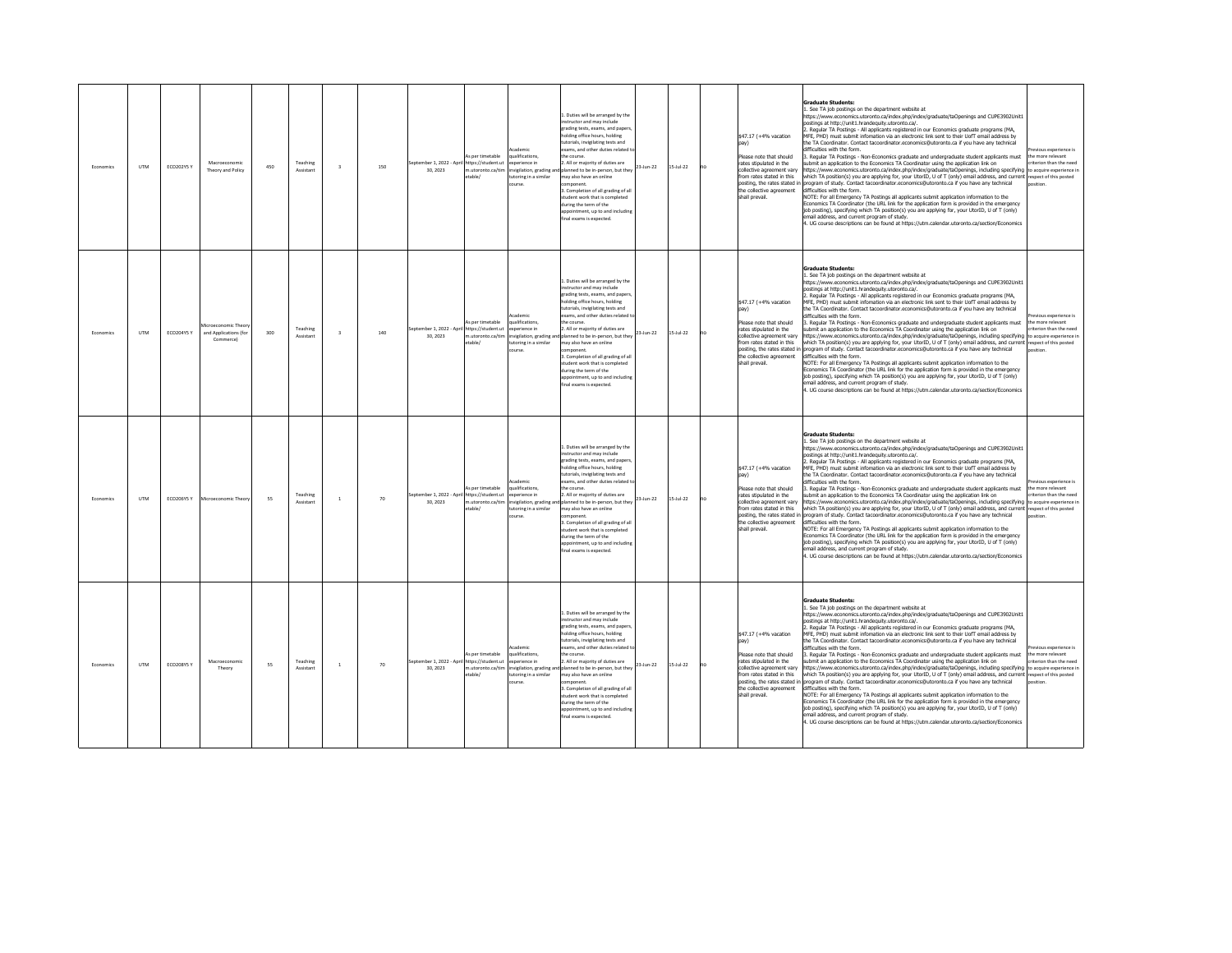| Fronomics | <b>LITM</b> | ECO202Y5 Y        | Macroeconomi<br>Theory and Policy                       | 450 | Teaching<br>Assistant | $\overline{\mathbf{3}}$ | 150 | eptember 1, 2022 - April https://student.ut<br>30.2023 | is per timetable<br>m.utoronto.ca/tim<br>etable/ | ademir<br>alifications,<br>soerience in<br>nvigilation, grading an<br>utoring in a similar<br>ourse.                      | 1. Duties will be arranged by the<br>instructor and may include<br>grading tests, exams, and paper<br>olding office hours, holding<br>utorials, invigilating tests and<br>xams, and other duties related t<br>e course<br>. All or majority of duties are<br>23-Jun-22<br>anned to be in-person, but they<br>may also have an online<br>mponent.<br>3. Completion of all grading of all<br>tudent work that is completed<br>luring the term of the<br>pointment, up to and including<br>al exams is expected    | $5 - 10 - 22$  | no | \$47.17 (+4% vacation<br>Please note that should<br>rates stipulated in the<br>collective agreement vary<br>from rates stated in this<br>posting, the rates stated in<br>the collective agreement<br>shall prevail.        | Graduate Students:<br>See TA job postings on the department website at<br>https://www.economics.utoronto.ca/index.php/index/graduate/taOpenings and CUPE3902Unit1<br>ostings at http://unit1.hrandequity.utoronto.ca/.<br>Regular TA Postings - All applicants registered in our Economics graduate programs (MA,<br>MFE, PHD) must submit infomation via an electronic link sent to their UofT email address by<br>ne TA Coordinator. Contact tacoordinator.economics@utoronto.ca if you have any technical<br>difficulties with the form<br>Regular TA Postings - Non-Economics graduate and undergraduate student applicants must<br>ubmit an application to the Economics TA Coordinator using the application link on<br>ttps://www.economics.utoronto.ca/index.php/index/graduate/taOpenings, including specifying to acquire experience in<br>which TA position(s) you are applying for, your UtorID, U of T (only) email address, and current respect of this posted<br>rogram of study. Contact tacoordinator.economics@utoronto.ca if you have any technical<br>lifficulties with the form.<br>VOTE: For all Emergency TA Postings all applicants submit application information to the<br>Economics TA Coordinator (the URL link for the application form is provided in the emergency<br>job posting), specifying which TA position(s) you are applying for, your UtorID, U of T (only)<br>mail address, and current program of study.<br>UG course descriptions can be found at https://utm.calendar.utoronto.ca/section/Economics                 | vious experience is<br>he more relevant<br>iterion than the need                               |
|-----------|-------------|-------------------|---------------------------------------------------------|-----|-----------------------|-------------------------|-----|--------------------------------------------------------|--------------------------------------------------|---------------------------------------------------------------------------------------------------------------------------|-----------------------------------------------------------------------------------------------------------------------------------------------------------------------------------------------------------------------------------------------------------------------------------------------------------------------------------------------------------------------------------------------------------------------------------------------------------------------------------------------------------------|----------------|----|----------------------------------------------------------------------------------------------------------------------------------------------------------------------------------------------------------------------------|-----------------------------------------------------------------------------------------------------------------------------------------------------------------------------------------------------------------------------------------------------------------------------------------------------------------------------------------------------------------------------------------------------------------------------------------------------------------------------------------------------------------------------------------------------------------------------------------------------------------------------------------------------------------------------------------------------------------------------------------------------------------------------------------------------------------------------------------------------------------------------------------------------------------------------------------------------------------------------------------------------------------------------------------------------------------------------------------------------------------------------------------------------------------------------------------------------------------------------------------------------------------------------------------------------------------------------------------------------------------------------------------------------------------------------------------------------------------------------------------------------------------------------------------------------------------|------------------------------------------------------------------------------------------------|
| Economics | <b>LITM</b> | ECO204Y5 Y        | croeconomic Theor<br>and Applications (for<br>Commercel | 300 | Teaching<br>Assistant | $\overline{a}$          | 140 | stember 1, 2022 - April https://student.ut<br>30.2023  | As per timetable<br>table/                       | cademic<br>aualifications<br>sperience in<br>m.utoronto.ca/tim invigilation, grading ar<br>utoring in a similar<br>ourse. | . Duties will be arranged by the<br>nstructor and may include<br>rading tests, exams, and paper<br>holding office hours, holding<br>utorials, invigilating tests and<br>xams, and other duties related<br>the course.<br>2. All or majority of duties are<br>23-Jun-22<br>planned to be in-person, but they<br>hay also have an online<br>mponent.<br>. Completion of all grading of all<br>tudent work that is completed<br>uring the term of the<br>ppointment, up to and includin<br>inal exams is expected. | $15 -$ Jul-22  | no | \$47.17 (+4% vacation<br>Please note that should<br>rates stipulated in the<br>collective agreement vary<br>from rates stated in this<br>posting, the rates stated in<br>the collective agreement<br>shall prevail.        | <b>Graduate Students:</b><br>. See TA job postings on the department website at<br>https://www.economics.utoronto.ca/index.php/index/graduate/taOpenings and CUPE3902Unit1<br>ostings at http://unit1.hrandeguity.utoronto.ca/.<br>Regular TA Postings - All applicants registered in our Economics graduate programs (MA,<br>MFE, PHD) must submit infomation via an electronic link sent to their UofT email address by<br>ne TA Coordinator. Contact tacoordinator.economics@utoronto.ca if you have any technical<br>lifficulties with the form.<br>Regular TA Postings - Non-Economics graduate and undergraduate student applicants must<br>ubmit an application to the Economics TA Coordinator using the application link on<br>ittps://www.economics.utoronto.ca/index.php/index/graduate/taOpenings, including specifying to acquire experience in<br>vhich TA position(s) you are applying for, your UtorID, U of T (only) email address, and current respect of this posted<br>program of study. Contact tacoordinator.economics@utoronto.ca if you have any technical<br>difficulties with the form.<br>NOTE: For all Emergency TA Postings all applicants submit application information to the<br>conomics TA Coordinator (the URL link for the application form is provided in the emergency<br>job posting), specifying which TA position(s) you are applying for, your UtorID, U of T (only)<br>mail address, and current program of study.<br>UG course descriptions can be found at https://utm.calendar.utoronto.ca/section/Economics      | vious experience is<br>the more relevant<br>riterion than the need                             |
| Economics | <b>UTM</b>  | <b>ECO206Y5 Y</b> | roeconomic Theor                                        | 55  | Teaching<br>Assistant | $\mathbf{1}$            | 70  | entember 1 2022 - Anril https://student.ut<br>30.2023  | As per timetable<br>n.utoronto.ca/tim<br>etable/ | cademic<br>qualifications.<br>vnerience in<br>nvigilation, grading ar<br>utoring in a similar<br>purse                    | . Duties will be arranged by the<br>structor and may include<br>grading tests, exams, and papers<br>olding office hours, holding<br>utorials, invigilating tests and<br>cams, and other duties related<br>the course.<br>. All or majority of duties are<br>23-Jun-22<br>planned to be in-person, but the<br>may also have an online<br>mponent.<br>3. Completion of all grading of all<br>udent work that is completed<br>luring the term of the<br>ppointment, up to and includin<br>final exams is expected  | $S-$ Jul $-22$ |    | \$47.17 (+4% vacation<br>pay)<br>Please note that should<br>rates stinulated in the<br>collective agreement varv<br>from rates stated in this<br>posting, the rates stated i<br>the collective agreement<br>shall prevail. | <b>Graduate Students:</b><br>. See TA job postings on the department website at<br>https://www.economics.utoronto.ca/index.php/index/graduate/taOpenings and CUPE3902Unit1<br>oostings at http://unit1.hrandeguity.utoronto.ca/.<br>. Regular TA Postings - All applicants registered in our Economics graduate programs (MA,<br>MFE, PHD) must submit infomation via an electronic link sent to their UofT email address by<br>the TA Coordinator. Contact tacoordinator.economics@utoronto.ca if you have any technical<br>lifficulties with the form.<br>. Regular TA Postings - Non-Economics graduate and undergraduate student applicants must<br>ubmit an application to the Economics TA Coordinator using the application link on<br>ttps://www.economics.utoronto.ca/index.php/index/graduate/taOpenings, including specifying<br>which TA position(s) you are applying for, your UtorID, U of T (only) email address, and current respect of this posted<br>rogram of study. Contact tacoordinator.economics@utoronto.ca if you have any technical<br>difficulties with the form.<br>NOTE: For all Emergency TA Postings all applicants submit application information to the<br>conomics TA Coordinator (the URL link for the application form is provided in the emergency<br>job posting), specifying which TA position(s) you are applying for, your UtorID, U of T (only)<br>mail address, and current program of study.<br>UG course descriptions can be found at https://utm.calendar.utoronto.ca/section/Economics                           | evious experience is<br>the more relevant<br>riterion than the need<br>to acquire experience i |
| Economics | <b>UTM</b>  | <b>ECO208Y5 Y</b> | Macroeconomi<br>Theory                                  | 55  | Teaching<br>Assistant | $\,$ 1                  | 70  | eptember 1, 2022 - April https://student.ut<br>30.2023 | is per timetable<br>m.utoronto.ca/tim<br>etable/ | cademic<br>ualifications.<br>sperience in<br>invigilation, grading and<br>utoring in a similar<br>nurse                   | 1. Duties will be arranged by the<br>estructor and may include<br>grading tests, exams, and paper<br>holding office hours, holding<br>storials, invigilating tests and<br>xams, and other duties related<br>e course.<br>All or majority of duties are<br>23-Jun-22<br>planned to be in-person, but they<br>may also have an online<br>mponent<br>. Completion of all grading of all<br>tudent work that is completed<br>luring the term of the<br>pointment, up to and includin<br>nal exams is expected.      | 15-Jul-22      |    | \$47.17 (+4% vacation<br>Please note that should<br>rates stipulated in the<br>collective agreement varv<br>from rates stated in this<br>posting, the rates stated in<br>the collective agreement<br>shall prevail.        | <b>Graduate Students:</b><br>1. See TA job postings on the department website at<br>https://www.economics.utoronto.ca/index.php/index/graduate/taOpenings and CUPE3902Unit1<br>oostings at http://unit1.hrandequity.utoronto.ca/.<br>Regular TA Postings - All applicants registered in our Economics graduate programs (MA,<br>MFE, PHD) must submit infomation via an electronic link sent to their UofT email address by<br>he TA Coordinator. Contact tacoordinator.economics@utoronto.ca if you have any technical<br>lifficulties with the form.<br>Reqular TA Postings - Non-Economics graduate and undergraduate student applicants must<br>ubmit an application to the Economics TA Coordinator using the application link on<br>ttps://www.economics.utoronto.ca/index.php/index/graduate/taOpenings, including specifying to acquire experience in<br>vhich TA position(s) you are applying for, your UtorID, U of T (only) email address, and current respect of this posted<br>rogram of study. Contact tacoordinator.economics@utoronto.ca if you have any technical<br>lifficulties with the form.<br>NOTE: For all Emergency TA Postings all applicants submit application information to the<br>Economics TA Coordinator (the URL link for the application form is provided in the emergency<br>job posting), specifying which TA position(s) you are applying for, your UtorID, U of T (only)<br>email address, and current program of study,<br>4. UG course descriptions can be found at https://utm.calendar.utoronto.ca/section/Economics | vious experience is<br>he more relevant<br>riterion than the need                              |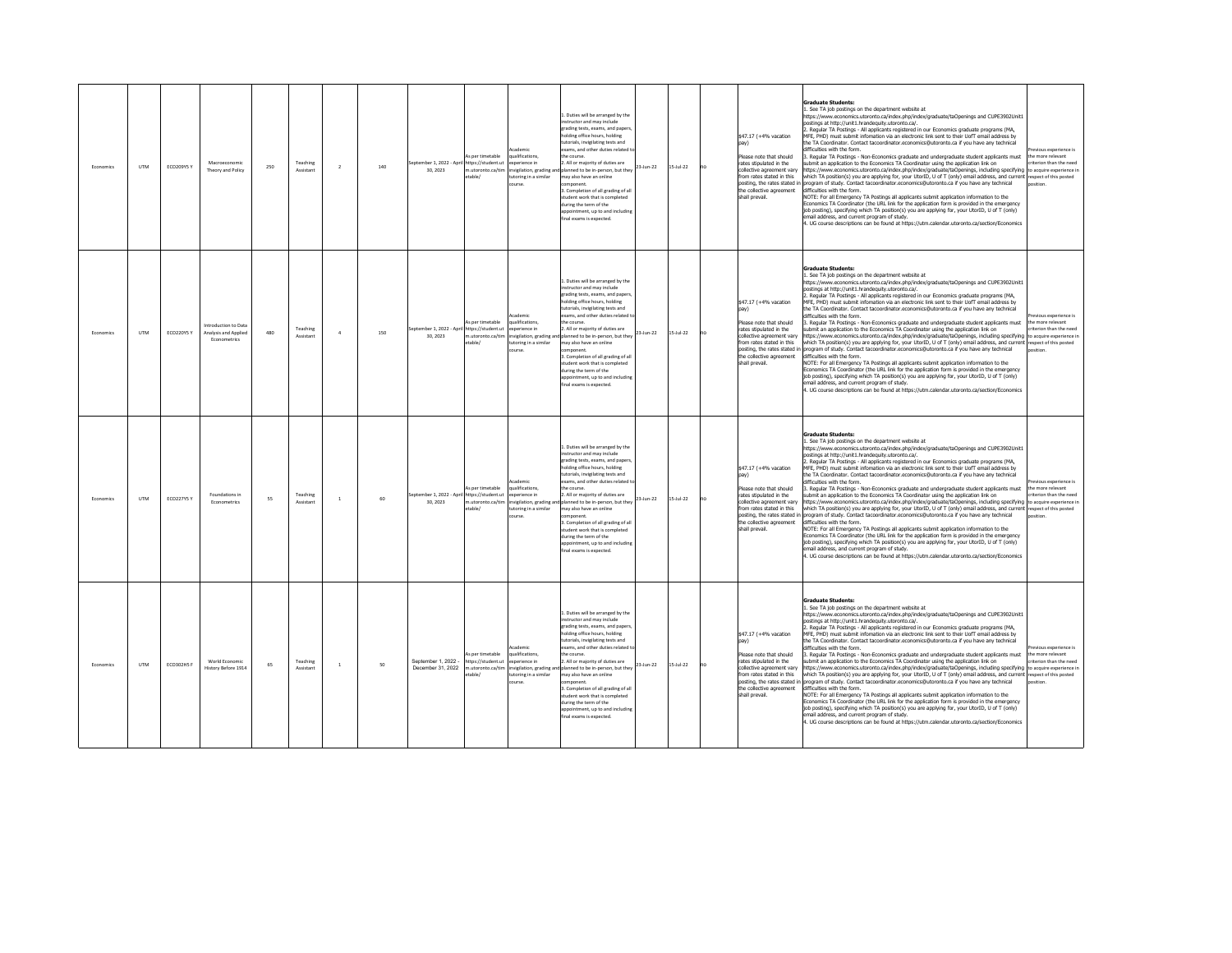| Fronomics | <b>LITM</b> | ECO209Y5 Y        | Macroeconomi<br>Theory and Policy                            | 250 | Teaching<br>Assistant | $\overline{2}$ | 140 | eptember 1, 2022 - April https://student.ut<br>30, 2023 | is per timetable<br>m.utoronto.ca/tim<br>etable/                                           | ademir<br>alifications,<br>soerience in<br>invigilation, grading and<br>utoring in a similar<br>course.       | 1. Duties will be arranged by the<br>instructor and may include<br>grading tests, exams, and paper<br>olding office hours, holding<br>utorials, invigilating tests and<br>xams, and other duties related t<br>e course<br>. All or majority of duties are<br>23-Jun-22<br>anned to be in-person, but they<br>may also have an online<br>mponent.<br>3. Completion of all grading of all<br>tudent work that is completed<br>luring the term of the<br>opointment, up to and includin<br>al exams is expected.                            | $15 - \frac{1}{22}$ | no | \$47.17 (+4% vacation<br>Please note that should<br>rates stipulated in the<br>collective agreement varv<br>from rates stated in this<br>posting, the rates stated in<br>the collective agreement<br>shall prevail.         | Graduate Students:<br>See TA job postings on the department website at<br>https://www.economics.utoronto.ca/index.php/index/graduate/taOpenings and CUPE3902Unit1<br>ostings at http://unit1.hrandequity.utoronto.ca/.<br>Regular TA Postings - All applicants registered in our Economics graduate programs (MA,<br>MFE, PHD) must submit infomation via an electronic link sent to their UofT email address by<br>ne TA Coordinator. Contact tacoordinator.economics@utoronto.ca if you have any technical<br>difficulties with the form<br>Regular TA Postings - Non-Economics graduate and undergraduate student applicants must<br>ubmit an application to the Economics TA Coordinator using the application link on<br>ttps://www.economics.utoronto.ca/index.php/index/graduate/taOpenings, including specifying to acquire experience in<br>which TA position(s) you are applying for, your UtorID, U of T (only) email address, and current respect of this posted<br>rogram of study. Contact tacoordinator.economics@utoronto.ca if you have any technical<br>lifficulties with the form.<br>VOTE: For all Emergency TA Postings all applicants submit application information to the<br>Economics TA Coordinator (the URL link for the application form is provided in the emergency<br>job posting), specifying which TA position(s) you are applying for, your UtorID, U of T (only)<br>mail address, and current program of study.<br>4. UG course descriptions can be found at https://utm.calendar.utoronto.ca/section/Economics                                         | ious experience is<br>he more relevant<br>riterion than the need                                |
|-----------|-------------|-------------------|--------------------------------------------------------------|-----|-----------------------|----------------|-----|---------------------------------------------------------|--------------------------------------------------------------------------------------------|---------------------------------------------------------------------------------------------------------------|------------------------------------------------------------------------------------------------------------------------------------------------------------------------------------------------------------------------------------------------------------------------------------------------------------------------------------------------------------------------------------------------------------------------------------------------------------------------------------------------------------------------------------------|---------------------|----|-----------------------------------------------------------------------------------------------------------------------------------------------------------------------------------------------------------------------------|--------------------------------------------------------------------------------------------------------------------------------------------------------------------------------------------------------------------------------------------------------------------------------------------------------------------------------------------------------------------------------------------------------------------------------------------------------------------------------------------------------------------------------------------------------------------------------------------------------------------------------------------------------------------------------------------------------------------------------------------------------------------------------------------------------------------------------------------------------------------------------------------------------------------------------------------------------------------------------------------------------------------------------------------------------------------------------------------------------------------------------------------------------------------------------------------------------------------------------------------------------------------------------------------------------------------------------------------------------------------------------------------------------------------------------------------------------------------------------------------------------------------------------------------------------------------------------------------|-------------------------------------------------------------------------------------------------|
| Economics | <b>UTM</b>  | ECO220Y5 Y        | Introduction to Data<br>Analysis and Applied<br>Franametrics | 480 | Teaching<br>Assistan  | $\Delta$       | 150 | 30, 2023                                                | As per timetable<br>mber 1, 2022 - April https://student.ut<br>m.utoronto.ca/tim<br>table/ | cademic<br>qualifications.<br>xperience in<br>utoring in a similar<br>purse.                                  | . Duties will be arranged by the<br>nstructor and may include<br>rading tests, exams, and papers<br>holding office hours, holding<br>utorials, invigilating tests and<br>xams, and other duties related<br>the course.<br>2. All or majority of duties are<br>23-Jun-22<br>invigilation, grading and planned to be in-person, but they<br>hay also have an online<br>mponent.<br>Completion of all grading of all<br>tudent work that is completed<br>uring the term of the<br>pointment, up to and including<br>inal exams is expected. | $15 -$ Jul-22       | no | \$47.17 (+4% vacation<br>Please note that should<br>rates stipulated in the<br>collective agreement vary<br>from rates stated in this<br>the collective agreement<br>shall prevail.                                         | <b>Graduate Students:</b><br>. See TA job postings on the department website at<br>https://www.economics.utoronto.ca/index.php/index/graduate/taOpenings and CUPE3902Unit1<br>ostings at http://unit1.hrandequity.utoronto.ca/.<br>Regular TA Postings - All applicants registered in our Economics graduate programs (MA,<br>MFE, PHD) must submit infomation via an electronic link sent to their UofT email address by<br>he TA Coordinator. Contact tacoordinator.economics@utoronto.ca if you have any technical<br>lifficulties with the form.<br>3. Regular TA Postings - Non-Economics graduate and undergraduate student applicants must<br>ubmit an application to the Economics TA Coordinator using the application link on<br>ittps://www.economics.utoronto.ca/index.php/index/graduate/taOpenings, including specifying to acquire experience in<br>vhich TA position(s) you are applying for, your UtorID, U of T (only) email address, and current respect of this posted<br>posting, the rates stated in program of study. Contact tacoordinator.economics@utoronto.ca if you have any technical<br>lifficulties with the form.<br>NOTE: For all Emergency TA Postings all applicants submit application information to the<br>conomics TA Coordinator (the URL link for the application form is provided in the emergency<br>job posting), specifying which TA position(s) you are applying for, your UtorID, U of T (only)<br>mail address, and current program of study.<br>UG course descriptions can be found at https://utm.calendar.utoronto.ca/section/Economics | vious experience is<br>the more relevant<br>riterion than the need                              |
| Fronomics | <b>LITM</b> | <b>ECO227Y5 Y</b> | Foundations in<br>Econometrics                               | 55  | Teaching<br>Assistan  | $\overline{1}$ | 60  | eptember 1, 2022 - April https://student.ut<br>30.2023  | As ner timetable<br>1.utoronto.ca/tim<br>etable.                                           | <b>Academic</b><br>aualifications<br>experience in<br>wigilation, grading ar<br>utoring in a similar<br>ourse | . Duties will be arranged by the<br>structor and may include<br>grading tests, exams, and papers<br>olding office hours, holding<br>tutorials, invigilating tests and<br>xams, and other duties related<br>the course<br>2. All or majority of duties are<br>23-Jun-22<br>planned to be in-person, but they<br>may also have an online<br>nponent<br>3. Completion of all grading of all<br>tudent work that is completed<br>during the term of the<br>ppointment up to and includin<br>inal exams is expected                           | $5 -$ Jul-22        |    | \$47.17 (+4% vacation<br>pay)<br>Please note that should<br>rates stipulated in the<br>collective agreement vary<br>from rates stated in this<br>posting, the rates stated in<br>the collective agreement<br>shall prevail. | <b>Graduate Students:</b><br>. See TA job postings on the department website at<br>https://www.economics.utoronto.ca/index.php/index/graduate/taOpenings and CUPE3902Unit1<br>ostinos at http://unit1.hrandequity.utoronto.ca/.<br>. Regular TA Postings - All applicants registered in our Economics graduate programs (MA,<br>MEE. PHD) must submit information via an electronic link sent to their UofT email address by<br>the TA Coordinator, Contact tacoordinator, economics@utoronto.ca if you have any technical<br>lifficulties with the form.<br>. Regular TA Postings - Non-Economics graduate and undergraduate student applicants must<br>submit an application to the Economics TA Coordinator using the application link on<br>ttps://www.economics.utoronto.ca/index.php/index/graduate/taOpenings, including specifying<br>hich TA position(s) you are applying for, your UtorID, U of T (only) email address, and current respect of this posted<br>ogram of study. Contact tacoordinator.economics@utoronto.ca if you have any technical<br>difficulties with the form.<br>NOTE: For all Emergency TA Postings all applicants submit application information to the<br>conomics TA Coordinator (the URL link for the application form is provided in the emergency<br>ob posting), specifying which TA position(s) you are applying for, your UtorID, U of T (only)<br>email address, and current program of study.<br>. UG course descriptions can be found at https://utm.calendar.utoronto.ca/section/Economics                                                    | evious experience is<br>the more relevant.<br>riterion than the need<br>to acquire experience i |
| Economic: | <b>UTM</b>  | ECO302HS F        | World Economic<br>History Refore 1914                        | 65  | Teaching<br>Assistant | $\,1\,$        | 50  | Sentember 1 2022 -<br>December 31 2022                  | s per timetable<br>https://student.ut<br>m utoronto ca/tim<br>table/                       | Academic<br>qualifications,<br>soerience in<br>toring in a similar<br>burse                                   | 1. Duties will be arranged by the<br>nstructor and may include<br>rading tests, exams, and paper<br>olding office hours, holding<br>torials, invigilating tests and<br>xams, and other duties related<br>he course.<br>2. All or majority of duties are<br>23-Jun-22<br>invigilation, grading and planned to be in-person, but they<br>nay also have an online<br>mponent.<br>. Completion of all grading of all<br>tudent work that is completed<br>uring the term of the<br>spointment, up to and including<br>nal exams is expected.  | $15 -$ Jul-22       | no | \$47.17 (+4% vacation<br>Please note that should<br>rates stinulated in the<br>collective agreement vary<br>from rates stated in this<br>posting, the rates stated in<br>the collective agreement<br>shall prevail.         | <b>Graduate Students:</b><br>1. See TA job postings on the department website at<br>https://www.economics.utoronto.ca/index.php/index/graduate/taOpenings and CUPE3902Unit1<br>nostinos at http://unit1.hrandequity.utoronto.ca/.<br>Regular TA Postings - All applicants registered in our Economics graduate programs (MA,<br>MEE. PHD) must submit infomation via an electronic link sent to their UofT email address by<br>e TA Coordinator, Contact tacoordinator, economics@utoronto.ca if you have any technical<br>lifficulties with the form.<br>Regular TA Postings - Non-Economics graduate and undergraduate student applicants must<br>ubmit an application to the Economics TA Coordinator using the application link on<br>https://www.economics.utoronto.ca/index.php/index/graduate/taOpenings, including specifying to acquire experience in<br>which TA position(s) you are applying for, your UtorID, U of T (only) email address, and current respect of this posted<br>program of study. Contact tacoordinator.economics@utoronto.ca if you have any technical<br>lifficulties with the form.<br>NOTE: For all Emergency TA Postings all applicants submit application information to the<br>conomics TA Coordinator (the URL link for the application form is provided in the emergency<br>job posting), specifying which TA position(s) you are applying for, your UtorID, U of T (only)<br>nail address, and current program of study.<br>4. UG course descriptions can be found at https://utm.calendar.utoronto.ca/section/Economics                            | vious experience is<br>the more relevant<br>riterion than the need                              |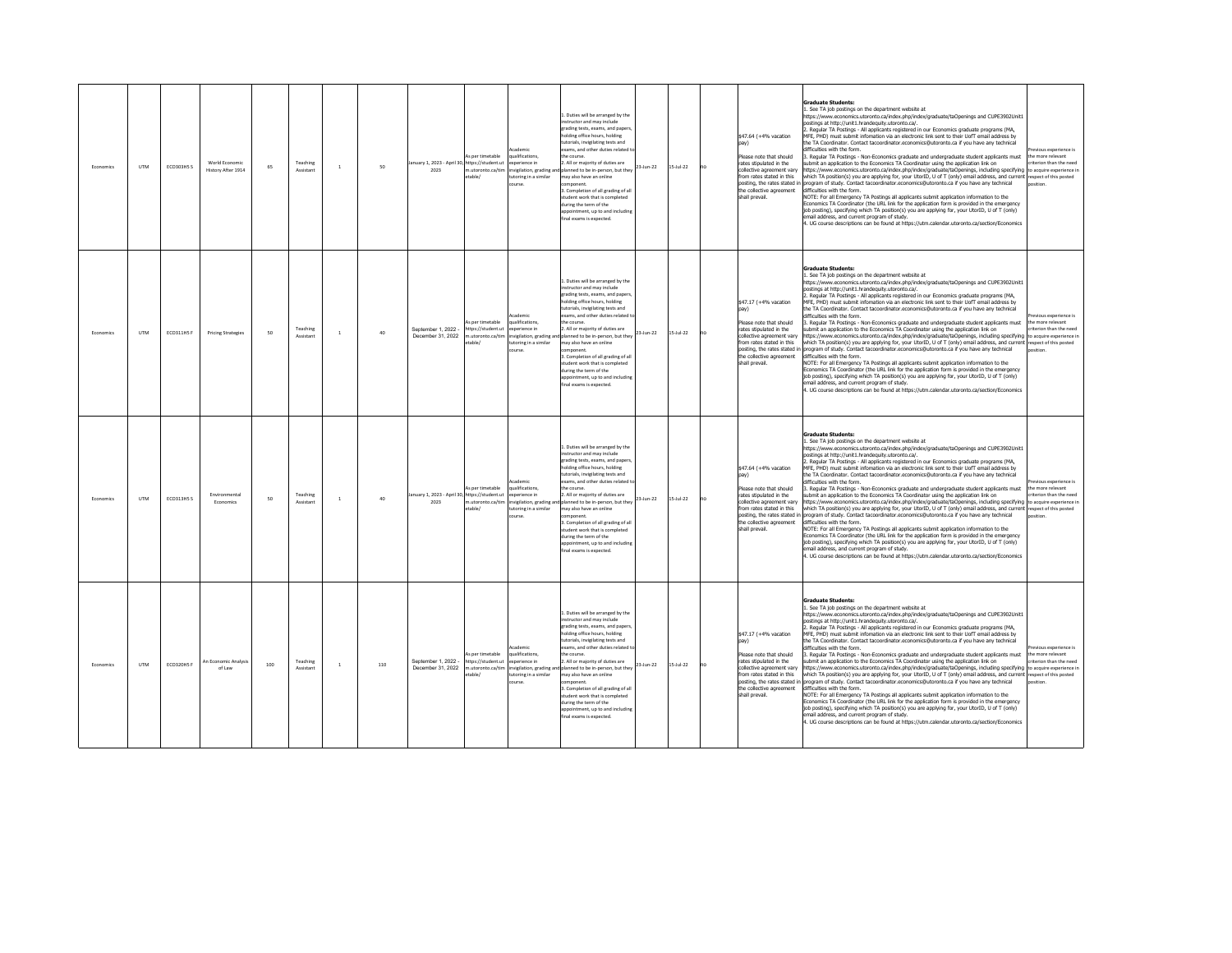| Economics | <b>UTM</b> | <b>ECO303HS S</b> | World Economic<br>History After 1914 | 65  | Teaching<br>Assistant | $\mathbf{1}$ | 50  | anuary 1, 2023 - April 30, https://student.ut<br>2023 | As per timetable<br>n.utoronto.ca/tim<br>etable/                      | cademic<br>ualifications<br>xperience in<br>nvigilation, grading and<br>utoring in a similar<br>course.                          | . Duties will be arranged by the<br>structor and may include<br>grading tests, exams, and papers<br>olding office hours holding<br>tutorials, invigilating tests and<br>vams, and other duties related t<br>e course<br>. All or majority of duties are<br>23-Jun-22<br>anned to be in-person, but they<br>may also have an online<br><i>imponent</i><br>. Completion of all grading of all<br>tudent work that is completed<br>during the term of the<br>opointment, up to and includin<br>nal exams is expected.                      | $15 - \frac{1}{22}$ | no | \$47.64 (+4% vacation<br>Please note that should<br>rates stipulated in the<br>collective agreement varv<br>from rates stated in this<br>posting, the rates stated in<br>the collective agreement<br>shall prevail.         | <b>Graduate Students:</b><br>See TA job postings on the department website at<br>https://www.economics.utoronto.ca/index.php/index/graduate/taOpenings and CUPE3902Unit1<br>ostings at http://unit1.hrandequity.utoronto.ca/.<br>. Regular TA Postings - All applicants registered in our Economics graduate programs (MA,<br>MFE, PHD) must submit infomation via an electronic link sent to their UofT email address by<br>he TA Coordinator. Contact tacoordinator.economics@utoronto.ca if you have any technical<br>difficulties with the form.<br>Regular TA Postings - Non-Economics graduate and undergraduate student applicants must<br>bmit an application to the Economics TA Coordinator using the application link on<br>https://www.economics.utoronto.ca/index.php/index/graduate/taOpenings, including specifying to acquire experience in<br>which TA position(s) you are applying for, your UtorID, U of T (only) email address, and current respect of this posted<br>rogram of study. Contact tacoordinator.economics@utoronto.ca if you have any technical<br>lifficulties with the form.<br>VOTE: For all Emergency TA Postings all applicants submit application information to the<br>Economics TA Coordinator (the URL link for the application form is provided in the emergency<br>ob posting), specifying which TA position(s) you are applying for, your UtorID, U of T (only)<br>mail address, and current program of study.<br>. UG course descriptions can be found at https://utm.calendar.utoronto.ca/section/Economics       | vinus experience is<br>the more relevant<br>riterion than the need                             |
|-----------|------------|-------------------|--------------------------------------|-----|-----------------------|--------------|-----|-------------------------------------------------------|-----------------------------------------------------------------------|----------------------------------------------------------------------------------------------------------------------------------|-----------------------------------------------------------------------------------------------------------------------------------------------------------------------------------------------------------------------------------------------------------------------------------------------------------------------------------------------------------------------------------------------------------------------------------------------------------------------------------------------------------------------------------------|---------------------|----|-----------------------------------------------------------------------------------------------------------------------------------------------------------------------------------------------------------------------------|------------------------------------------------------------------------------------------------------------------------------------------------------------------------------------------------------------------------------------------------------------------------------------------------------------------------------------------------------------------------------------------------------------------------------------------------------------------------------------------------------------------------------------------------------------------------------------------------------------------------------------------------------------------------------------------------------------------------------------------------------------------------------------------------------------------------------------------------------------------------------------------------------------------------------------------------------------------------------------------------------------------------------------------------------------------------------------------------------------------------------------------------------------------------------------------------------------------------------------------------------------------------------------------------------------------------------------------------------------------------------------------------------------------------------------------------------------------------------------------------------------------------------------------------------------------|------------------------------------------------------------------------------------------------|
| Economics | <b>UTM</b> | ECO311HSF         | <b>Pricing Strategies</b>            | 50  | Teaching<br>Assistant | $\mathbf{1}$ | 40  | September 1, 2022 -<br>December 31 2022               | is per timetable<br>https://student.ut<br>table/                      | <b>Arademir</b><br>aualifications<br>merience in<br>m.utoronto.ca/tim invigilation, grading an<br>utoring in a similar<br>ourse. | 1. Duties will be arranged by the<br>nstructor and may include<br>grading tests, exams, and papers<br>holding office hours, holding<br>utorials, invigilating tests and<br>vams, and other duties related t<br>the course.<br>2. All or majority of duties are<br>$23$ -Jun-22<br>d planned to be in-person, but they<br>nay also have an online<br>omponent.<br>. Completion of all grading of all<br>tudent work that is completed<br>uring the term of the<br>ppointment, up to and including<br>inal exams is expected.             | $15 -$ Jul-22       |    | \$47.17 (+4% vacation<br>Please note that should<br>rates stipulated in the<br>collective agreement vary<br>from rates stated in this<br>posting, the rates stated in<br>the collective agreement<br>shall prevail.         | <b>Graduate Students:</b><br>1. See TA job postings on the department website at<br>https://www.economics.utoronto.ca/index.php/index/graduate/taOpenings and CUPE3902Unit1<br>ostings at http://unit1.hrandequity.utoronto.ca/.<br>. Regular TA Postings - All applicants registered in our Economics graduate programs (MA,<br>MFE, PHD) must submit infomation via an electronic link sent to their UofT email address by<br>he TA Coordinator, Contact tacoordinator, economics@utoronto.ca if you have any technical<br>difficulties with the form.<br>. Regular TA Postings - Non-Economics graduate and undergraduate student applicants must<br>ubmit an application to the Economics TA Coordinator using the application link on<br>https://www.economics.utoronto.ca/index.php/index/graduate/taOpenings, including specifying to acquire experience in<br>which TA position(s) you are applying for, your UtorID, U of T (only) email address, and current respect of this posted<br>program of study. Contact tacoordinator.economics@utoronto.ca if you have any technical<br>difficulties with the form.<br>NOTE: For all Emergency TA Postings all applicants submit application information to the<br>conomics TA Coordinator (the URL link for the application form is provided in the emergency<br>job posting), specifying which TA position(s) you are applying for, your UtorID, U of T (only)<br>mail address, and current program of study.<br>UG course descriptions can be found at https://utm.calendar.utoronto.ca/section/Economics | vious experience is<br>the more relevant<br>riterion than the need                             |
| Economics | <b>UTM</b> | <b>ECO313H5 S</b> | Environmental<br>Fronomics           | 50  | Teaching<br>Assistant | $\mathbf{1}$ | 40  | anuary 1, 2023 - April 30. https://student.ut<br>2023 | As per timetable<br>n.utoronto.ca/tim<br>etable/                      | cademic<br>qualifications.<br>experience in<br>nvigilation, grading a<br>utoring in a similar                                    | . Duties will be arranged by the<br>structor and may include<br>grading tests, exams, and papers<br>Iding office hours, holding<br>utorials, invigilating tests and<br>cams, and other duties related<br>the course.<br>2. All or majority of duties are<br>23-Jun-22<br>planned to be in-person, but they<br>may also have an online<br>nponent.<br>3. Completion of all grading of all<br>tudent work that is completed<br>during the term of the<br>ppointment, up to and includin<br>inal exams is expected                         | $5 -$ Jul-22        |    | \$47,64 (+4% vacation<br>pay)<br>Please note that should<br>rates stinulated in the<br>collective agreement varv<br>from rates stated in this<br>posting, the rates stated in<br>the collective agreement<br>shall prevail. | <b>Graduate Students:</b><br>. See TA job postings on the department website at<br>https://www.economics.utoronto.ca/index.php/index/graduate/taOpenings and CUPE3902Unit1<br>oostings at http://unit1.hrandeguity.utoronto.ca/.<br>2. Regular TA Postings - All applicants registered in our Economics graduate programs (MA,<br>MEE. PHD) must submit infomation via an electronic link sent to their UofT email address by<br>the TA Coordinator. Contact tacoordinator.economics@utoronto.ca if you have any technical<br>lifficulties with the form.<br>. Regular TA Postings - Non-Economics graduate and undergraduate student applicants must<br>submit an application to the Economics TA Coordinator using the application link on<br>https://www.economics.utoronto.ca/index.php/index/graduate/taOpenings, including specifying<br>vhich TA position(s) you are applying for, your UtorID, U of T (only) email address, and current respect of this posted<br>rogram of study. Contact tacoordinator.economics@utoronto.ca if you have any technical<br>difficulties with the form.<br>NOTE: For all Emergency TA Postings all applicants submit application information to the<br>conomics TA Coordinator (the URL link for the application form is provided in the emergency<br>job posting), specifying which TA position(s) you are applying for, your UtorID, U of T (only)<br>email address, and current program of study.<br>UG course descriptions can be found at https://utm.calendar.utoronto.ca/section/Economics                        | evious experience is<br>the more relevant<br>riterion than the need<br>to acquire experience i |
| Economic: | <b>UTM</b> | ECO320HS F        | An Economic Analysi<br>of Law        | 100 | Teaching<br>Assistant | $\,1\,$      | 110 | Sentember 1 2022 -<br>December 31 2022                | is per timetable<br>https://student.ut<br>m utoronto ca/tim<br>table/ | <b>Arademir</b><br>qualifications,<br>soerience in<br>utoring in a similar<br>urse                                               | 1 Duties will be arranged by the<br>instructor and may include<br>rading tests, exams, and papers<br>olding office hours, holding<br>torials, invigilating tests and<br>xams, and other duties related<br>le course.<br>2. All or majority of duties are<br>23-Jun-22<br>invigilation, grading and planned to be in-person, but they<br>may also have an online<br>mponent.<br>. Completion of all grading of all<br>tudent work that is completed<br>uring the term of the<br>pointment, up to and including<br>nal exams is expected. | $15 -$ Jul-22       | no | \$47.17 (+4% vacation<br>Please note that should<br>rates stinulated in the<br>collective agreement vary<br>from rates stated in this<br>posting, the rates stated in<br>the collective agreement<br>shall prevail.         | <b>Graduate Students:</b><br>1. See TA job postings on the department website at<br>https://www.economics.utoronto.ca/index.php/index/graduate/taOpenings and CUPE3902Unit1<br>oostings at http://unit1.hrandeguity.utoronto.ca/.<br>Regular TA Postings - All applicants registered in our Economics graduate programs (MA,<br>MEE. PHD) must submit infomation via an electronic link sent to their UofT email address by<br>he TA Coordinator. Contact tacoordinator.economics@utoronto.ca if you have any technical<br>difficulties with the form.<br>Regular TA Postings - Non-Economics graduate and undergraduate student applicants must<br>ubmit an application to the Economics TA Coordinator using the application link on<br>https://www.economics.utoronto.ca/index.php/index/graduate/taOpenings.including specifying to acquire experience in<br>which TA position(s) you are applying for, your UtorID, U of T (only) email address, and current respect of this posted<br>program of study. Contact tacoordinator.economics@utoronto.ca if you have any technical<br>lifficulties with the form.<br>NOTE: For all Emergency TA Postings all applicants submit application information to the<br>conomics TA Coordinator (the URL link for the application form is provided in the emergency<br>job posting), specifying which TA position(s) you are applying for, your UtorID, U of T (only)<br>nail address, and current program of study.<br>4. UG course descriptions can be found at https://utm.calendar.utoronto.ca/section/Economics   | evious experience is<br>the more relevant<br>riterion than the need                            |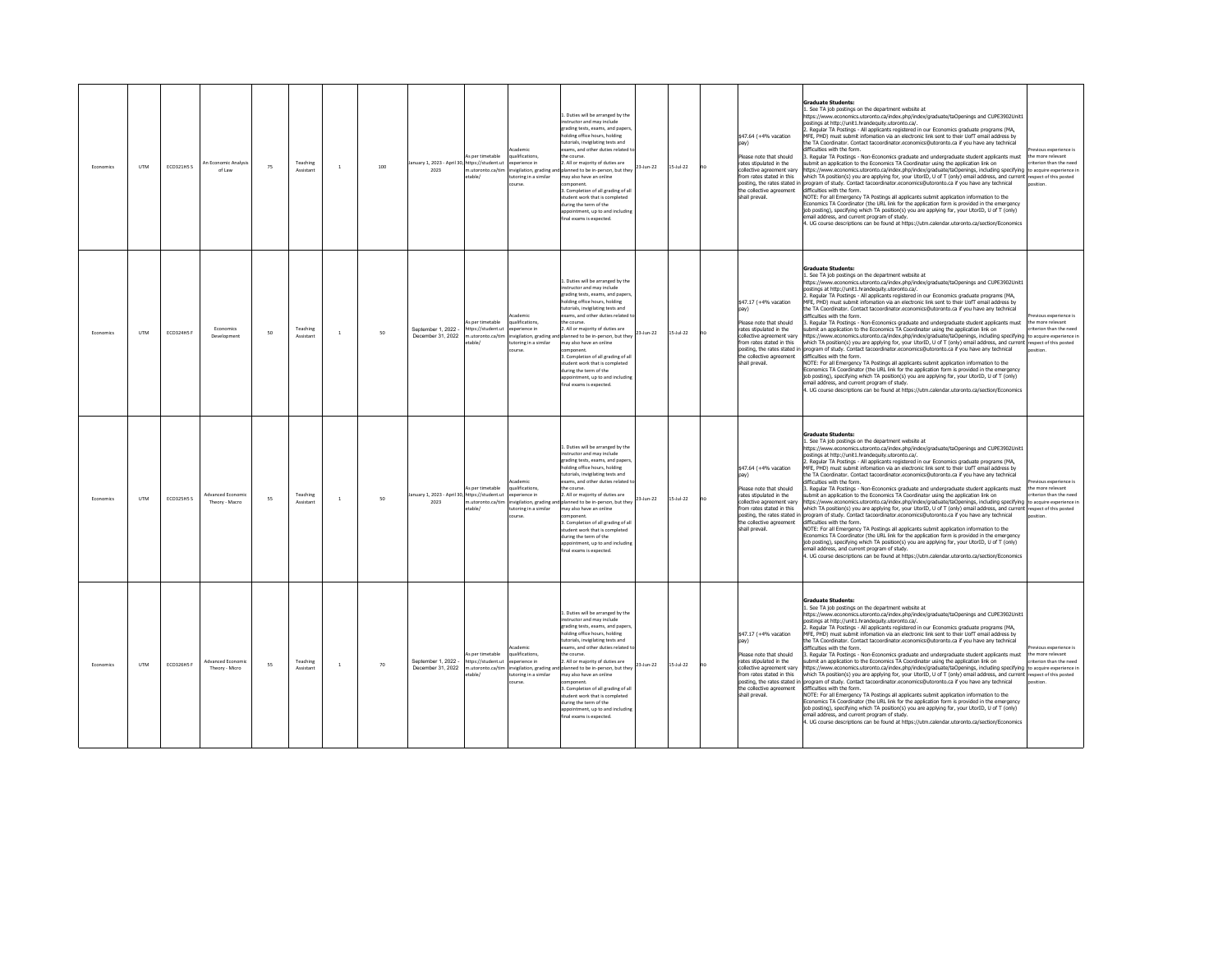| Economics | <b>UTM</b> | <b>ECO321HS S</b> | An Economic Analysi<br>of Law       | 75 | Teaching<br>Assistant | $\mathbf{1}$ | 100 | anuary 1, 2023 - April 30, https://student.ut<br>2023  | As per timetable<br>n.utoronto.ca/tim<br>table/                      | cademic<br>ualifications<br>perience in<br>nvigilation, grading and<br>utoring in a similar<br>ourse. | L. Duties will be arranged by the<br>structor and may include<br>erading tests, exams, and paper:<br>holding office hours holding<br>tutorials, invigilating tests and<br>exams, and other duties related to<br>e course.<br>. All or majority of duties are<br>slanned to be in-person, but they<br>may also have an online<br>mponent.<br>3. Completion of all grading of all<br>tudent work that is completed<br>during the term of the<br>ppointment, up to and including<br>nal exams is expected.                   | 23-Jun-22 | $15 - \frac{1}{22}$ | no | \$47.64 (+4% vacation<br>Please note that should<br>rates stipulated in the<br>collective agreement varv<br>from rates stated in this<br>posting, the rates stated in<br>the collective agreement<br>shall prevail. | <b>Graduate Students:</b><br>. See TA job postings on the department website at<br>https://www.economics.utoronto.ca/index.php/index/graduate/taOpenings and CUPE3902Unit1<br>ostings at http://unit1.hrandequity.utoronto.ca/.<br>. Regular TA Postings - All applicants registered in our Economics graduate programs (MA,<br>MFE. PHD) must submit infomation via an electronic link sent to their UofT email address by<br>the TA Coordinator. Contact tacoordinator.economics@utoronto.ca if you have any technical<br>difficulties with the form.<br>Regular TA Postings - Non-Economics graduate and undergraduate student applicants must<br>ubmit an application to the Economics TA Coordinator using the application link on<br>https://www.economics.utoronto.ca/index.php/index/graduate/taOpenings, including specifying to acquire experience in<br>which TA position(s) you are applying for, your UtorID, U of T (only) email address, and current respect of this posted<br>orogram of study. Contact tacoordinator economics@utoronto.ca if you have any technical<br>difficulties with the form.<br>NOTE: For all Emergency TA Postings all applicants submit application information to the<br>Economics TA Coordinator (the URL link for the application form is provided in the emergency<br>job posting), specifying which TA position(s) you are applying for, your UtorID, U of T (only)<br>email address, and current program of study.<br>UG course descriptions can be found at https://utm.calendar.utoronto.ca/section/Economics                                    | vinus experience is<br>the more relevant<br>riterion than the need                             |
|-----------|------------|-------------------|-------------------------------------|----|-----------------------|--------------|-----|--------------------------------------------------------|----------------------------------------------------------------------|-------------------------------------------------------------------------------------------------------|---------------------------------------------------------------------------------------------------------------------------------------------------------------------------------------------------------------------------------------------------------------------------------------------------------------------------------------------------------------------------------------------------------------------------------------------------------------------------------------------------------------------------|-----------|---------------------|----|---------------------------------------------------------------------------------------------------------------------------------------------------------------------------------------------------------------------|----------------------------------------------------------------------------------------------------------------------------------------------------------------------------------------------------------------------------------------------------------------------------------------------------------------------------------------------------------------------------------------------------------------------------------------------------------------------------------------------------------------------------------------------------------------------------------------------------------------------------------------------------------------------------------------------------------------------------------------------------------------------------------------------------------------------------------------------------------------------------------------------------------------------------------------------------------------------------------------------------------------------------------------------------------------------------------------------------------------------------------------------------------------------------------------------------------------------------------------------------------------------------------------------------------------------------------------------------------------------------------------------------------------------------------------------------------------------------------------------------------------------------------------------------------------------------------------------------|------------------------------------------------------------------------------------------------|
| Economics | <b>UTM</b> | <b>ECO324H5 F</b> | Fronomics<br>Development            | 50 | Teaching<br>Assistant | $\mathbf{1}$ | 50  | September 1, 2022 -<br>December 31, 2022               | As per timetable<br>https://student.ut<br>m.utoronto.ca/tim<br>able/ | cademic<br>ualifications<br>merience in<br>nvigilation, grading an<br>toring in a similar<br>burse    | L. Duties will be arranged by the<br>structor and may include<br>grading tests, exams, and papers<br>olding office hours, holding<br>utorials, invigilating tests and<br>exams, and other duties related t<br>the course.<br>2. All or majority of duties are<br>d planned to be in-person, but they<br>nay also have an online<br>mponent.<br>3. Completion of all grading of all<br>tudent work that is completed<br>during the term of the<br>ppointment, up to and including<br>final exams is expected.              | 23-Jun-22 | $15 -$ Jul-22       | no | \$47.17 (+4% vacation<br>Please note that should<br>rates stipulated in the<br>collective agreement varv<br>from rates stated in this<br>the collective agreement<br>shall prevail.                                 | <b>Graduate Students:</b><br>1. See TA job postings on the department website at<br>https://www.economics.utoronto.ca/index.php/index/graduate/taOpenings and CUPE3902Unit1<br>ostings at http://unit1.hrandeguity.utoronto.ca/.<br>. Regular TA Postings - All applicants registered in our Economics graduate programs (MA.<br>MFE. PHD) must submit infomation via an electronic link sent to their UofT email address by<br>the TA Coordinator. Contact tacoordinator.economics@utoronto.ca if you have any technical<br>difficulties with the form.<br>3. Regular TA Postings - Non-Economics graduate and undergraduate student applicants must<br>submit an application to the Economics TA Coordinator using the application link on<br>https://www.economics.utoronto.ca/index.php/index/graduate/taOpenings, including specifying to acquire experience in<br>which TA position(s) you are applying for, your UtorID, U of T (only) email address, and current respect of this posted<br>posting, the rates stated in program of study. Contact tacoordinator.economics@utoronto.ca if you have any technical<br>difficulties with the form.<br>NOTE: For all Emergency TA Postings all applicants submit application information to the<br>conomics TA Coordinator (the URL link for the application form is provided in the emergency<br>job posting), specifying which TA position(s) you are applying for, your UtorID, U of T (only)<br>mail address, and current program of study.<br>4. UG course descriptions can be found at https://utm.calendar.utoronto.ca/section/Economics | vious experience is<br>the more relevant<br>riterion than the need                             |
| Economics | <b>UTM</b> | <b>ECO325H5 S</b> | Advanced Fronomi<br>Theory - Macro  | 55 | Teaching<br>Assistant | $\mathbf{1}$ | 50  | lanuary 1, 2023 - April 30, https://student.ut<br>2023 | As per timetable<br>n.utoronto.ca/tim<br>table/                      | cademic<br>ualifications.<br>merience in<br>vigilation, grading a<br>toring in a similar              | L. Duties will be arranged by the<br>structor and may include<br>grading tests, exams, and papers<br>olding office hours, holding<br>utorials, invigilating tests and<br>xams, and other duties related<br>the course.<br>. All or majority of duties are<br>planned to be in-person, but they<br>may also have an online<br>3. Completion of all grading of all<br>tudent work that is completed<br>during the term of the<br>sppointment, up to and including<br>final exams is expected.                               | 23-Jun-22 | $5 -$ Jul-22        |    | \$47,64 (+4% vacation<br>Please note that should<br>rates stinulated in the<br>collective agreement varv<br>from rates stated in this<br>posting, the rates stated in<br>the collective agreement<br>shall prevail. | <b>Graduate Students:</b><br>1. See TA job postings on the department website at<br>https://www.economics.utoronto.ca/index.php/index/graduate/taOpenings and CUPE3902Unit1<br>postings at http://unit1.hrandeguity.utoronto.ca/.<br>. Regular TA Postings - All applicants registered in our Economics graduate programs (MA,<br>MEE. PHD) must submit information via an electronic link sent to their UofT email address by<br>the TA Coordinator. Contact tacoordinator.economics@utoronto.ca if you have any technical<br>lifficulties with the form.<br>. Regular TA Postings - Non-Economics graduate and undergraduate student applicants must<br>submit an application to the Economics TA Coordinator using the application link on<br>https://www.economics.utoronto.ca/index.php/index/graduate/taOpenings, including specifying<br>which TA position(s) you are applying for, your UtorID, U of T (only) email address, and current respect of this posted<br>rogram of study. Contact tacoordinator.economics@utoronto.ca if you have any technical<br>difficulties with the form.<br>NOTE: For all Emergency TA Postings all applicants submit application information to the<br>Economics TA Coordinator (the URL link for the application form is provided in the emergency<br>job posting), specifying which TA position(s) you are applying for, your UtorID, U of T (only)<br>email address, and current program of study.<br>4. UG course descriptions can be found at https://utm.calendar.utoronto.ca/section/Economics                                                     | evious experience is<br>the more relevant<br>riterion than the need<br>to acquire experience i |
| Economic  | <b>UTM</b> | ECO326HSF         | Advanced Economic<br>Theory - Micro | 55 | Teaching<br>Assistant | $\mathbf{1}$ | 70  | Sentember 1 2022<br>December 31 2022                   | As per timetable<br>https://student.ut<br>n utoronto ca/tim<br>able/ | cademic<br>ualifications,<br>werience in<br>toring in a similar                                       | 1 Duties will be arranged by the<br>nstructor and may include<br>rading tests, exams, and paper:<br>olding office hours, holding<br>utorials, invigilating tests and<br>exams, and other duties related<br>he course.<br>. All or majority of duties are<br>nvigilation, grading and planned to be in-person, but they<br>may also have an online<br>nponent.<br>Completion of all grading of all<br>tudent work that is completed<br>during the term of the<br>pointment, up to and including<br>inal exams is expected. | 23-Jun-22 | $15 -$ Jul-22       | no | \$47.17 (+4% vacation<br>Please note that should<br>rates stinulated in the<br>collective agreement vary<br>from rates stated in this<br>the collective agreement<br>shall prevail.                                 | <b>Graduate Students:</b><br>1. See TA job postings on the department website at<br>https://www.economics.utoronto.ca/index.php/index/graduate/taOpenings and CUPE3902Unit1<br>postings at http://unit1.hrandequity.utoronto.ca/.<br>. Regular TA Postings - All applicants registered in our Economics graduate programs (MA,<br>MFF. PHD) must submit infomation via an electronic link sent to their UofT email address by<br>he TA Coordinator. Contact tacoordinator.economics@utoronto.ca if you have any technical<br>difficulties with the form.<br>Regular TA Postings - Non-Economics graduate and undergraduate student applicants must<br>ubmit an application to the Economics TA Coordinator using the application link on<br>https://www.economics.utoronto.ca/index.php/index/graduate/taOpenings.including.specifying_to.acquire.experience.in<br>which TA position(s) you are applying for, your UtorID, U of T (only) email address, and current respect of this posted<br>posting, the rates stated in program of study. Contact tacoordinator.economics@utoronto.ca if you have any technical<br>difficulties with the form.<br>NOTE: For all Emergency TA Postings all applicants submit application information to the<br>Economics TA Coordinator (the URL link for the application form is provided in the emergency<br>job posting), specifying which TA position(s) you are applying for, your UtorID, U of T (only)<br>mail address, and current program of study.<br>4. UG course descriptions can be found at https://utm.calendar.utoronto.ca/section/Economics     | evious experience is<br>the more relevant<br>riterion than the need<br><b>noition</b>          |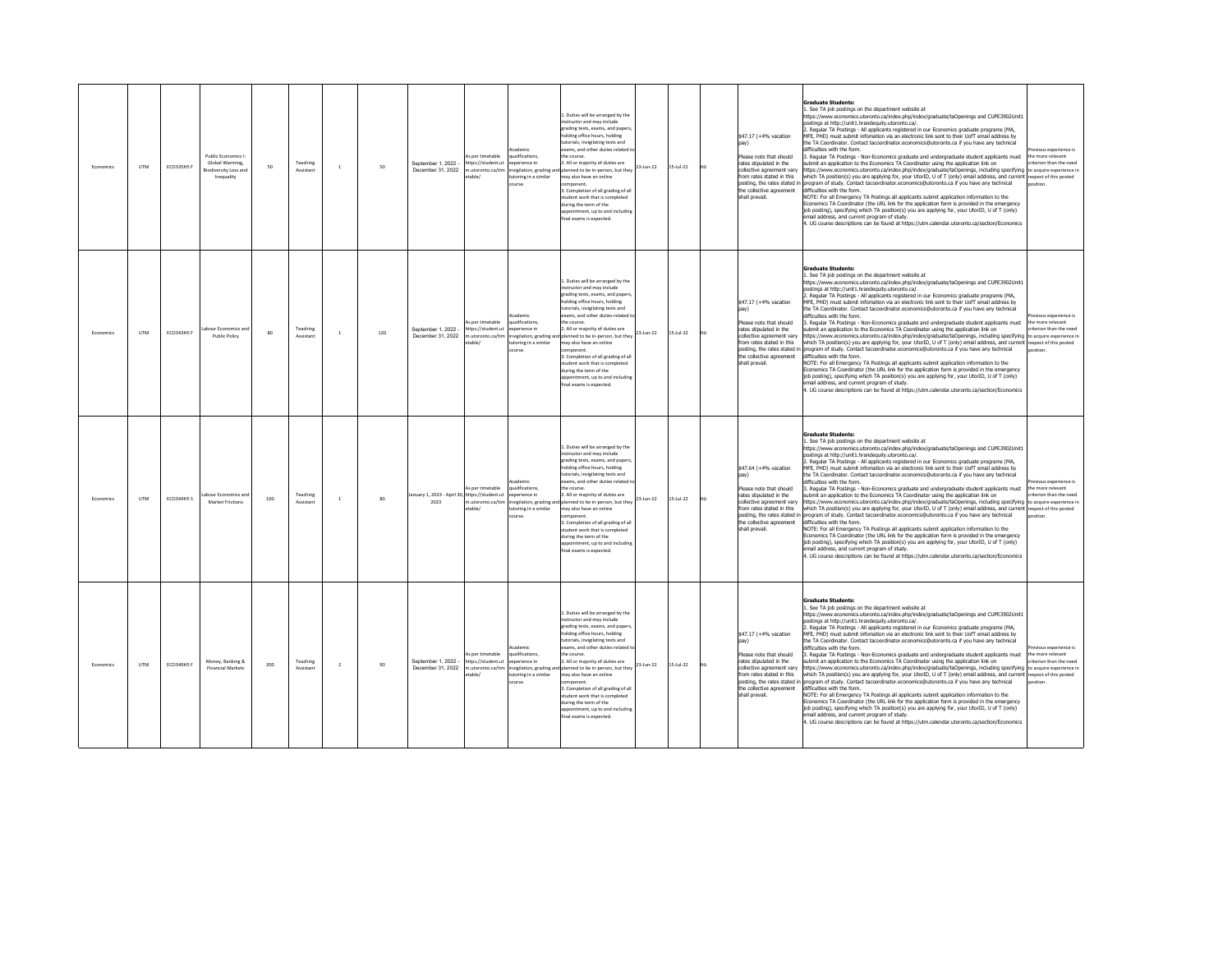| Fronomics | <b>LITM</b> | ECO335H5F         | Public Economics<br>Global Warming,<br>Biodiversity Loss and<br>Inequality | 50  | Teaching<br>Assistant | $\mathbf{1}$   | 50  | September 1, 2022 -<br>December 31, 2022              | s per timetable<br>https://student.ut<br>m.utoronto.ca/tim<br>table/ | <b>rademir</b><br>ualifications,<br>soerience in<br>invigilation, grading and<br>utoring in a similar<br>course. | 1. Duties will be arranged by the<br>nstructor and may include<br>grading tests, exams, and paper<br>olding office hours, holding<br>utorials, invigilating tests and<br>xams, and other duties related t<br>e course<br>. All or majority of duties are<br>23-Jun-22<br>lanned to be in-person, but they<br>may also have an online<br>mponent.<br>3. Completion of all grading of all<br>tudent work that is completed<br>luring the term of the<br>opointment, up to and includin<br>al exams is expected.                                              | $15 - \frac{1}{22}$ | no | \$47.17 (+4% vacation<br>Please note that should<br>rates stipulated in the<br>collective agreement varv<br>from rates stated in this<br>posting, the rates stated in<br>the collective agreement<br>shall prevail.         | Graduate Students:<br>See TA job postings on the department website at<br>https://www.economics.utoronto.ca/index.php/index/graduate/taOpenings and CUPE3902Unit1<br>ostings at http://unit1.hrandequity.utoronto.ca/.<br>Regular TA Postings - All applicants registered in our Economics graduate programs (MA,<br>MFE, PHD) must submit infomation via an electronic link sent to their UofT email address by<br>ne TA Coordinator. Contact tacoordinator.economics@utoronto.ca if you have any technical<br>difficulties with the form<br>Regular TA Postings - Non-Economics graduate and undergraduate student applicants must<br>ubmit an application to the Economics TA Coordinator using the application link on<br>ttps://www.economics.utoronto.ca/index.php/index/graduate/taOpenings, including specifying to acquire experience in<br>which TA position(s) you are applying for, your UtorID, U of T (only) email address, and current respect of this posted<br>rogram of study. Contact tacoordinator.economics@utoronto.ca if you have any technical<br>lifficulties with the form.<br>VOTE: For all Emergency TA Postings all applicants submit application information to the<br>Economics TA Coordinator (the URL link for the application form is provided in the emergency<br>job posting), specifying which TA position(s) you are applying for, your UtorID, U of T (only)<br>mail address, and current program of study.<br>4. UG course descriptions can be found at https://utm.calendar.utoronto.ca/section/Economics                                        | vious experience is<br>he more relevant<br>riterion than the need                               |
|-----------|-------------|-------------------|----------------------------------------------------------------------------|-----|-----------------------|----------------|-----|-------------------------------------------------------|----------------------------------------------------------------------|------------------------------------------------------------------------------------------------------------------|------------------------------------------------------------------------------------------------------------------------------------------------------------------------------------------------------------------------------------------------------------------------------------------------------------------------------------------------------------------------------------------------------------------------------------------------------------------------------------------------------------------------------------------------------------|---------------------|----|-----------------------------------------------------------------------------------------------------------------------------------------------------------------------------------------------------------------------------|-------------------------------------------------------------------------------------------------------------------------------------------------------------------------------------------------------------------------------------------------------------------------------------------------------------------------------------------------------------------------------------------------------------------------------------------------------------------------------------------------------------------------------------------------------------------------------------------------------------------------------------------------------------------------------------------------------------------------------------------------------------------------------------------------------------------------------------------------------------------------------------------------------------------------------------------------------------------------------------------------------------------------------------------------------------------------------------------------------------------------------------------------------------------------------------------------------------------------------------------------------------------------------------------------------------------------------------------------------------------------------------------------------------------------------------------------------------------------------------------------------------------------------------------------------------------------------------------|-------------------------------------------------------------------------------------------------|
| Economics | <b>UTM</b>  | <b>ECO343HS F</b> | bour Economics and<br>Public Policy                                        | 80  | Teaching<br>Assistan  | $\mathbf{1}$   | 120 | September 1, 2022 -<br>December 31, 2022              | As per timetable<br>https://student.ut<br>table/                     | cademic<br>qualifications.<br>xperience in<br>utoring in a similar<br>purse.                                     | . Duties will be arranged by the<br>nstructor and may include<br>rading tests, exams, and papers<br>holding office hours, holding<br>utorials, invigilating tests and<br>xams, and other duties related<br>the course<br>2. All or majority of duties are<br>23-Jun-22<br>m.utoronto.ca/tim invigilation, grading and planned to be in-person, but they<br>hay also have an online<br>mponent.<br>Completion of all grading of all<br>tudent work that is completed<br>uring the term of the<br>pointment, up to and including<br>inal exams is expected.  | $15 -$ Jul-22       | no | \$47.17 (+4% vacation<br>Please note that should<br>rates stipulated in the<br>collective agreement vary<br>from rates stated in this<br>the collective agreement<br>shall prevail.                                         | <b>Graduate Students:</b><br>. See TA job postings on the department website at<br>https://www.economics.utoronto.ca/index.php/index/graduate/taOpenings and CUPE3902Unit1<br>ostings at http://unit1.hrandequity.utoronto.ca/.<br>Regular TA Postings - All applicants registered in our Economics graduate programs (MA,<br>MFE, PHD) must submit infomation via an electronic link sent to their UofT email address by<br>he TA Coordinator. Contact tacoordinator.economics@utoronto.ca if you have any technical<br>lifficulties with the form.<br>3. Regular TA Postings - Non-Economics graduate and undergraduate student applicants must<br>bmit an application to the Economics TA Coordinator using the application link on<br>ittps://www.economics.utoronto.ca/index.php/index/graduate/taOpenings, including specifying to acquire experience in<br>vhich TA position(s) you are applying for, your UtorID, U of T (only) email address, and current respect of this posted<br>posting, the rates stated in program of study. Contact tacoordinator.economics@utoronto.ca if you have any technical<br>lifficulties with the form.<br>NOTE: For all Emergency TA Postings all applicants submit application information to the<br>conomics TA Coordinator (the URL link for the application form is provided in the emergency<br>job posting), specifying which TA position(s) you are applying for, your UtorID, U of T (only)<br>mail address, and current program of study.<br>UG course descriptions can be found at https://utm.calendar.utoronto.ca/section/Economics | vious experience is<br>the more relevant<br>riterion than the need                              |
| Fronomics | <b>UTM</b>  | <b>ECO344H5 S</b> | hour Fronomics an<br>Market Frictions                                      | 100 | Teaching<br>Assistan  | $\mathbf{1}$   | 80  | anuary 1, 2023 - April 30, https://student.ut<br>2023 | As ner timetable<br>1.utoronto.ca/tim<br>etable/                     | <b>Academic</b><br>aualifications<br>experience in<br>wigilation, grading ar<br>utoring in a similar<br>ourse    | 1. Duties will be arranged by the<br>structor and may include<br>grading tests, exams, and papers<br>olding office hours, holding<br>tutorials, invigilating tests and<br>xams, and other duties related<br>the course<br>2. All or majority of duties are<br>23-Jun-22<br>planned to be in-person, but they<br>may also have an online<br>nponent<br>3. Completion of all grading of all<br>tudent work that is completed<br>during the term of the<br>ppointment up to and includin<br>inal exams is expected                                            | $5 -$ Jul-22        |    | \$47.64 (+4% vacation<br>pay)<br>Please note that should<br>rates stipulated in the<br>collective agreement vary<br>from rates stated in this<br>posting, the rates stated in<br>the collective agreement<br>shall prevail. | <b>Graduate Students:</b><br>. See TA job postings on the department website at<br>https://www.economics.utoronto.ca/index.php/index/graduate/taOpenings and CUPE3902Unit1<br>ostinos at http://unit1.hrandequity.utoronto.ca/.<br>. Regular TA Postings - All applicants registered in our Economics graduate programs (MA,<br>MEE. PHD) must submit information via an electronic link sent to their UofT email address by<br>the TA Coordinator, Contact tacoordinator, economics@utoronto.ca if you have any technical<br>lifficulties with the form.<br>. Regular TA Postings - Non-Economics graduate and undergraduate student applicants must<br>submit an application to the Economics TA Coordinator using the application link on<br>ttps://www.economics.utoronto.ca/index.php/index/graduate/taOpenings, including specifying<br>hich TA position(s) you are applying for, your UtorID, U of T (only) email address, and current respect of this posted<br>ogram of study. Contact tacoordinator.economics@utoronto.ca if you have any technical<br>difficulties with the form.<br>NOTE: For all Emergency TA Postings all applicants submit application information to the<br>conomics TA Coordinator (the URL link for the application form is provided in the emergency<br>ob posting), specifying which TA position(s) you are applying for, your UtorID, U of T (only)<br>email address, and current program of study.<br>. UG course descriptions can be found at https://utm.calendar.utoronto.ca/section/Economics                                                   | evious experience is<br>the more relevant.<br>riterion than the need<br>to acquire experience i |
| Economic: | <b>UTM</b>  | ECO349H5 F        | Money, Banking &<br><b>Financial Markets</b>                               | 200 | Teaching<br>Assistant | $\overline{2}$ | 90  | Sentember 1 2022 -<br>December 31 2022                | s per timetable<br>https://student.ut<br>table/                      | Academic<br>qualifications,<br>soerience in<br>toring in a similar<br>burse                                      | 1. Duties will be arranged by the<br>nstructor and may include<br>rading tests, exams, and papers<br>olding office hours, holding<br>torials, invigilating tests and<br>xams, and other duties related<br>he course.<br>2. All or majority of duties are<br>23-Jun-22<br>m.utoronto.ca/tim invigilation, grading and planned to be in-person, but they<br>nay also have an online<br>mponent.<br>. Completion of all grading of all<br>tudent work that is completed<br>uring the term of the<br>spointment, up to and including<br>nal exams is expected. | $15 -$ Jul-22       | no | \$47.17 (+4% vacation<br>Please note that should<br>rates stinulated in the<br>collective agreement vary<br>from rates stated in this<br>posting, the rates stated in<br>the collective agreement<br>shall prevail.         | <b>Graduate Students:</b><br>1. See TA job postings on the department website at<br>https://www.economics.utoronto.ca/index.php/index/graduate/taOpenings and CUPE3902Unit1<br>nostinos at http://unit1.hrandequity.utoronto.ca/.<br>Regular TA Postings - All applicants registered in our Economics graduate programs (MA,<br>MEE. PHD) must submit infomation via an electronic link sent to their UofT email address by<br>he TA Coordinator, Contact tacoordinator.economics@utoronto.ca if you have any technical<br>lifficulties with the form.<br>Regular TA Postings - Non-Economics graduate and undergraduate student applicants must<br>ubmit an application to the Economics TA Coordinator using the application link on<br>https://www.economics.utoronto.ca/index.php/index/graduate/taOpenings, including specifying to acquire experience in<br>which TA position(s) you are applying for, your UtorID, U of T (only) email address, and current respect of this posted<br>program of study. Contact tacoordinator.economics@utoronto.ca if you have any technical<br>lifficulties with the form.<br>NOTE: For all Emergency TA Postings all applicants submit application information to the<br>conomics TA Coordinator (the URL link for the application form is provided in the emergency<br>job posting), specifying which TA position(s) you are applying for, your UtorID, U of T (only)<br>nail address, and current program of study.<br>4. UG course descriptions can be found at https://utm.calendar.utoronto.ca/section/Economics                           | vious experience is<br>the more relevant<br>riterion than the need                              |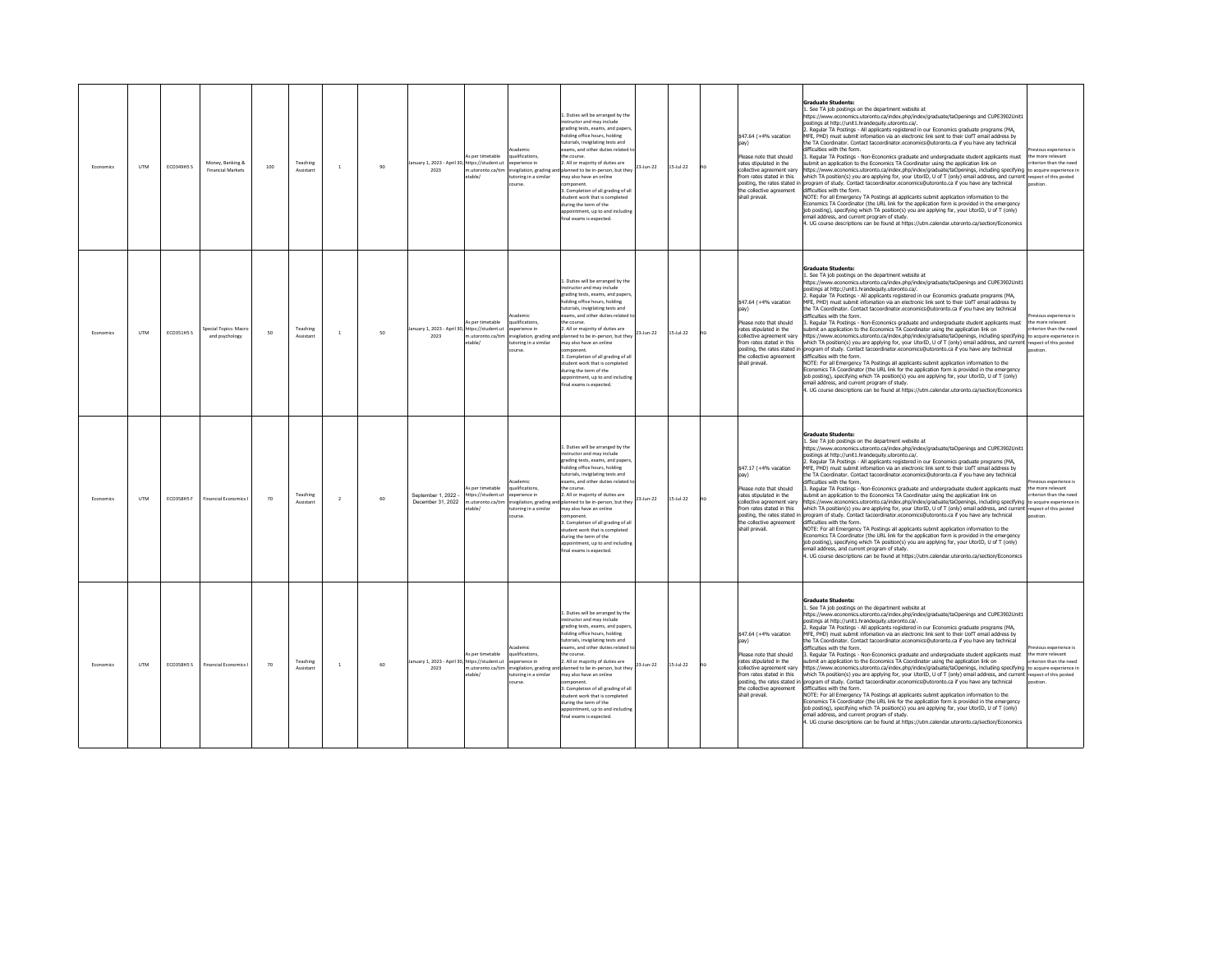| Fronomics | <b>LITM</b> | <b>ECO349H5 S</b> | Money, Banking &<br><b>Financial Markets</b> | 100 | Teaching<br>Assistant | $\mathbf{1}$   | 90 | January 1, 2023 - April 30, https://student.ut<br>2023 | is per timetable<br>m.utoronto.ca/tim<br>etable/                       | ademir<br>ualifications,<br>soerience in<br>invigilation, grading and<br>utoring in a similar<br>course.       | 1. Duties will be arranged by the<br>instructor and may include<br>grading tests, exams, and paper<br>olding office hours, holding<br>utorials, invigilating tests and<br>xams, and other duties related t<br>e course<br>All or majority of duties are<br>23-Jun-22<br>lanned to be in-person, but they<br>may also have an online<br>mponent.<br>3. Completion of all grading of all<br>tudent work that is completed<br>luring the term of the<br>opointment, up to and includin<br>al exams is expected.                                              | $15 - \frac{1}{22}$ | no | \$47.64 (+4% vacation<br>Please note that should<br>rates stipulated in the<br>collective agreement varv<br>from rates stated in this<br>posting, the rates stated in<br>the collective agreement<br>shall prevail.         | Graduate Students:<br>See TA job postings on the department website at<br>https://www.economics.utoronto.ca/index.php/index/graduate/taOpenings and CUPE3902Unit1<br>ostings at http://unit1.hrandequity.utoronto.ca/.<br>Regular TA Postings - All applicants registered in our Economics graduate programs (MA,<br>MFE, PHD) must submit infomation via an electronic link sent to their UofT email address by<br>ne TA Coordinator. Contact tacoordinator.economics@utoronto.ca if you have any technical<br>lifficulties with the form.<br>Regular TA Postings - Non-Economics graduate and undergraduate student applicants must<br>ubmit an application to the Economics TA Coordinator using the application link on<br>ttps://www.economics.utoronto.ca/index.php/index/graduate/taOpenings, including specifying to acquire experience in<br>which TA position(s) you are applying for, your UtorID, U of T (only) email address, and current respect of this posted<br>rogram of study. Contact tacoordinator.economics@utoronto.ca if you have any technical<br>lifficulties with the form.<br>VOTE: For all Emergency TA Postings all applicants submit application information to the<br>Economics TA Coordinator (the URL link for the application form is provided in the emergency<br>job posting), specifying which TA position(s) you are applying for, your UtorID, U of T (only)<br>mail address, and current program of study.<br>4. UG course descriptions can be found at https://utm.calendar.utoronto.ca/section/Economics                                       | vious experience is<br>he more relevant<br>riterion than the need             |
|-----------|-------------|-------------------|----------------------------------------------|-----|-----------------------|----------------|----|--------------------------------------------------------|------------------------------------------------------------------------|----------------------------------------------------------------------------------------------------------------|-----------------------------------------------------------------------------------------------------------------------------------------------------------------------------------------------------------------------------------------------------------------------------------------------------------------------------------------------------------------------------------------------------------------------------------------------------------------------------------------------------------------------------------------------------------|---------------------|----|-----------------------------------------------------------------------------------------------------------------------------------------------------------------------------------------------------------------------------|-------------------------------------------------------------------------------------------------------------------------------------------------------------------------------------------------------------------------------------------------------------------------------------------------------------------------------------------------------------------------------------------------------------------------------------------------------------------------------------------------------------------------------------------------------------------------------------------------------------------------------------------------------------------------------------------------------------------------------------------------------------------------------------------------------------------------------------------------------------------------------------------------------------------------------------------------------------------------------------------------------------------------------------------------------------------------------------------------------------------------------------------------------------------------------------------------------------------------------------------------------------------------------------------------------------------------------------------------------------------------------------------------------------------------------------------------------------------------------------------------------------------------------------------------------------------------------------------|-------------------------------------------------------------------------------|
| Economics | <b>UTM</b>  | ECO351H5 S        | oecial Topics: Macr<br>and psychology        | 50  | Teaching<br>Assistan  | $\mathbf{1}$   | 50 | nuary 1, 2023 - April 30, https://student.ut<br>2023   | As per timetable<br>table/                                             | cademic<br>qualifications,<br>xperience in<br>utoring in a similar<br>purse.                                   | . Duties will be arranged by the<br>nstructor and may include<br>rading tests, exams, and papers<br>holding office hours, holding<br>utorials, invigilating tests and<br>xams, and other duties related<br>the course<br>2. All or majority of duties are<br>23-Jun-22<br>m.utoronto.ca/tim invigilation, grading and planned to be in-person, but they<br>hay also have an online<br>mponent.<br>Completion of all grading of all<br>tudent work that is completed<br>uring the term of the<br>pointment, up to and including<br>inal exams is expected. | $15 - \frac{1}{22}$ | no | \$47.64 (+4% vacation<br>Please note that should<br>rates stipulated in the<br>collective agreement vary<br>from rates stated in this<br>the collective agreement<br>shall prevail.                                         | <b>Graduate Students:</b><br>. See TA job postings on the department website at<br>https://www.economics.utoronto.ca/index.php/index/graduate/taOpenings and CUPE3902Unit1<br>ostings at http://unit1.hrandequity.utoronto.ca/.<br>Regular TA Postings - All applicants registered in our Economics graduate programs (MA,<br>MFE, PHD) must submit infomation via an electronic link sent to their UofT email address by<br>he TA Coordinator. Contact tacoordinator.economics@utoronto.ca if you have any technical<br>lifficulties with the form.<br>3. Regular TA Postings - Non-Economics graduate and undergraduate student applicants must<br>bmit an application to the Economics TA Coordinator using the application link on<br>ittps://www.economics.utoronto.ca/index.php/index/graduate/taOpenings, including specifying to acquire experience in<br>vhich TA position(s) you are applying for, your UtorID, U of T (only) email address, and current respect of this posted<br>posting, the rates stated in program of study. Contact tacoordinator.economics@utoronto.ca if you have any technical<br>lifficulties with the form.<br>NOTE: For all Emergency TA Postings all applicants submit application information to the<br>conomics TA Coordinator (the URL link for the application form is provided in the emergency<br>job posting), specifying which TA position(s) you are applying for, your UtorID, U of T (only)<br>mail address, and current program of study.<br>UG course descriptions can be found at https://utm.calendar.utoronto.ca/section/Economics | vious experience is<br>the more relevant<br>riterion than the need<br>osition |
| Fronomics | <b>UTM</b>  | ECO358H5 F        | <b>Financial Economics</b>                   | 70  | Teaching<br>Assistan  | $\overline{2}$ | 60 | Sentember 1 2022<br>December 31, 2022                  | As ner timetable<br>https://student.ut<br>n.utoronto.ca/tim<br>etable/ | <b>Academic</b><br>aualifications<br>experience in<br>nvigilation, grading ar<br>utoring in a similar<br>ourse | 1. Duties will be arranged by the<br>structor and may include<br>grading tests, exams, and papers<br>olding office hours, holding<br>tutorials, invigilating tests and<br>xams, and other duties related<br>the course<br>2. All or majority of duties are<br>23-Jun-22<br>planned to be in-person, but they<br>may also have an online<br>nponent<br>3. Completion of all grading of all<br>tudent work that is completed<br>during the term of the<br>ppointment up to and including<br>inal exams is expected                                          | $5 -$ Jul-22        |    | \$47.17 (+4% vacation<br>pay)<br>Please note that should<br>rates stipulated in the<br>collective agreement vary<br>from rates stated in this<br>posting, the rates stated in<br>the collective agreement<br>shall prevail. | <b>Graduate Students:</b><br>. See TA job postings on the department website at<br>https://www.economics.utoronto.ca/index.php/index/graduate/taOpenings and CUPE3902Unit1<br>ostinos at http://unit1.hrandequity.utoronto.ca/.<br>. Regular TA Postings - All applicants registered in our Economics graduate programs (MA,<br>MEE. PHD) must submit information via an electronic link sent to their UofT email address by<br>the TA Coordinator, Contact tacoordinator, economics@utoronto.ca if you have any technical<br>lifficulties with the form.<br>. Regular TA Postings - Non-Economics graduate and undergraduate student applicants must<br>submit an application to the Economics TA Coordinator using the application link on<br>ttps://www.economics.utoronto.ca/index.php/index/graduate/taOpenings, including specifying to acquire experience in<br>hich TA position(s) you are applying for, your UtorID, U of T (only) email address, and current respect of this posted<br>ogram of study. Contact tacoordinator.economics@utoronto.ca if you have any technical<br>difficulties with the form.<br>NOTE: For all Emergency TA Postings all applicants submit application information to the<br>conomics TA Coordinator (the URL link for the application form is provided in the emergency<br>ob posting), specifying which TA position(s) you are applying for, your UtorID, U of T (only)<br>email address, and current program of study.<br>. UG course descriptions can be found at https://utm.calendar.utoronto.ca/section/Economics                          | evious experience is<br>the more relevant.<br>riterion than the need          |
| Economic: | <b>UTM</b>  | ECO358H5 S        | <b>Financial Economics</b>                   | 70  | Teaching<br>Assistant | $\,1\,$        | 60 | January 1. 2023 - April 30. https://student.ut<br>2023 | As per timetable<br>etable/                                            | <b>Icademic</b><br>qualifications,<br>soerience in<br>toring in a similar<br>burse                             | 1. Duties will be arranged by the<br>nstructor and may include<br>rading tests, exams, and papers<br>olding office hours, holding<br>torials, invigilating tests and<br>xams, and other duties related<br>he course.<br>2. All or majority of duties are<br>23-Jun-22<br>m.utoronto.ca/tim invigilation, grading and planned to be in-person, but they<br>nay also have an online<br>mponent.<br>. Completion of all grading of al<br>tudent work that is completed<br>uring the term of the<br>ppointment, up to and including<br>nal exams is expected. | $15 -$ Jul-22       | no | \$47.64 (+4% vacation<br>Please note that should<br>rates stinulated in the<br>collective agreement vary<br>from rates stated in this<br>posting, the rates stated in<br>the collective agreement<br>shall prevail.         | <b>Graduate Students:</b><br>1. See TA job postings on the department website at<br>https://www.economics.utoronto.ca/index.php/index/graduate/taOpenings and CUPE3902Unit1<br>nostinos at http://unit1.hrandequity.utoronto.ca/.<br>Regular TA Postings - All applicants registered in our Economics graduate programs (MA,<br>MEE. PHD) must submit infomation via an electronic link sent to their UofT email address by<br>he TA Coordinator, Contact tacoordinator.economics@utoronto.ca if you have any technical<br>lifficulties with the form.<br>Regular TA Postings - Non-Economics graduate and undergraduate student applicants must<br>ubmit an application to the Economics TA Coordinator using the application link on<br>https://www.economics.utoronto.ca/index.php/index/graduate/taOpenings, including specifying to acquire experience in<br>which TA position(s) you are applying for, your UtorID, U of T (only) email address, and current respect of this posted<br>program of study. Contact tacoordinator.economics@utoronto.ca if you have any technical<br>lifficulties with the form.<br>NOTE: For all Emergency TA Postings all applicants submit application information to the<br>conomics TA Coordinator (the URL link for the application form is provided in the emergency<br>job posting), specifying which TA position(s) you are applying for, your UtorID, U of T (only)<br>nail address, and current program of study.<br>4. UG course descriptions can be found at https://utm.calendar.utoronto.ca/section/Economics                           | vious experience is<br>the more relevant<br>riterion than the need            |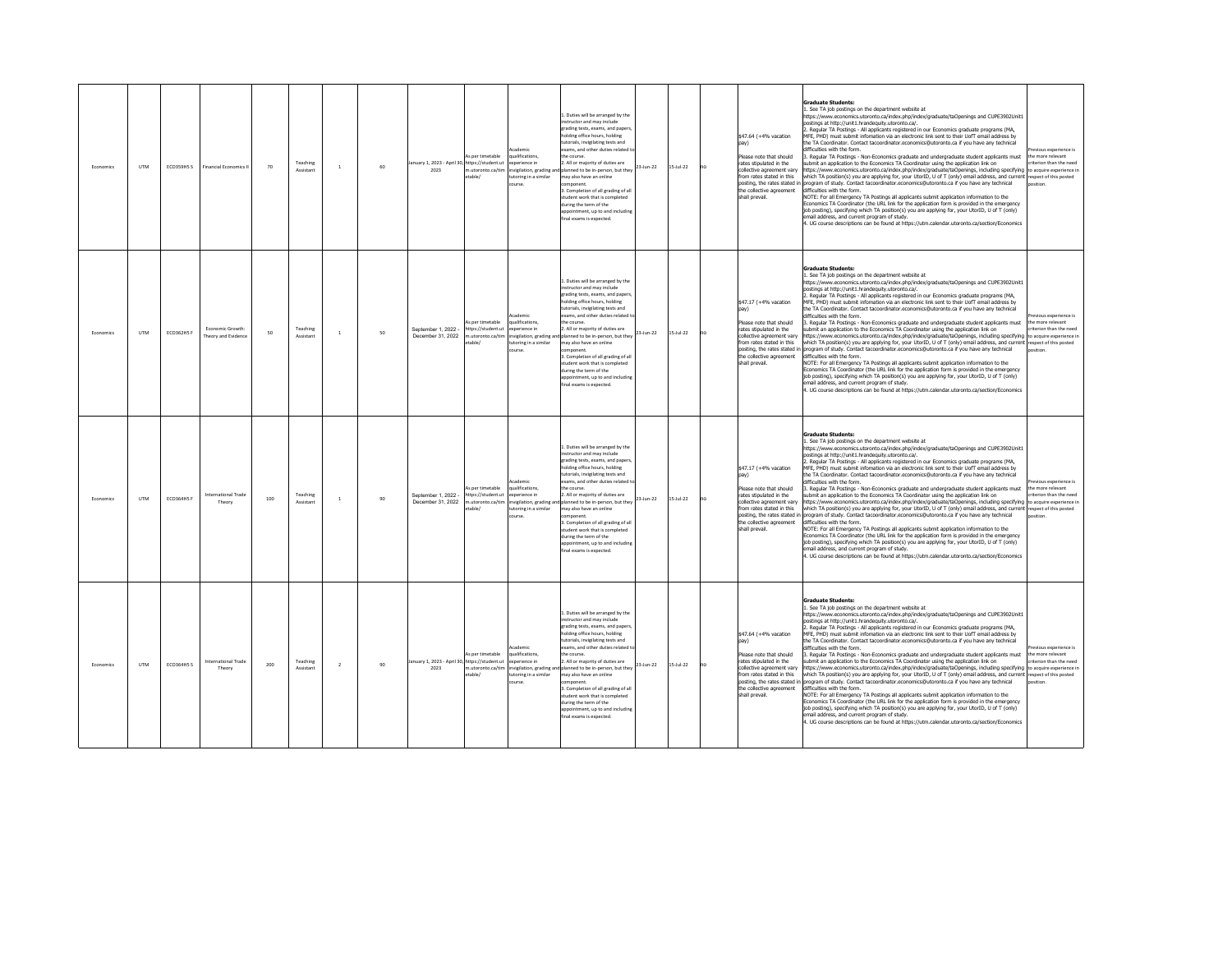| Fronomics | <b>LITM</b> | ECO359H5 S        | <b>Financial Economics II</b>          | 70  | Teaching<br>Assistant | $\mathbf{1}$ | 60 | January 1, 2023 - April 30, https://student.ut<br>2023 | s per timetable<br>n.utoronto.ca/tim<br>table/                       | ademi<br>alifications,<br>werience in<br>nvigilation, grading and<br>utoring in a similar<br>nurse | 1. Duties will be arranged by the<br>nstructor and may include<br>grading tests, exams, and paper<br>holding office hours, holding<br>utorials, invigilating tests and<br>xams, and other duties related to<br>e course.<br>All or majority of duties are<br>planned to be in-person, but they<br>may also have an online<br>mnonent<br>3. Completion of all grading of all<br>student work that is completed<br>during the term of the<br>ppointment, up to and including<br>nal exams is expected.                           | 23-Jun-22 | $15 - \frac{1}{22}$ | no | \$47.64 (+4% vacation<br>Please note that should<br>rates stipulated in the<br>collective agreement varv<br>from rates stated in this<br>posting, the rates stated in<br>the collective agreement<br>shall prevail. | <b>Graduate Students:</b><br>. See TA job postings on the department website at<br>https://www.economics.utoronto.ca/index.php/index/graduate/taOpenings and CUPE3902Unit1<br>ostings at http://unit1.hrandequity.utoronto.ca/.<br>. Regular TA Postings - All applicants registered in our Economics graduate programs (MA,<br>MFE, PHD) must submit infomation via an electronic link sent to their UofT email address by<br>the TA Coordinator. Contact tacoordinator.economics@utoronto.ca if you have any technical<br>difficulties with the form.<br>Regular TA Postings - Non-Economics graduate and undergraduate student applicants must<br>ubmit an application to the Economics TA Coordinator using the application link on<br>ttps://www.economics.utoronto.ca/index.php/index/graduate/taOpenings, including specifying to acquire experience in<br>which TA position(s) you are applying for, your UtorID, U of T (only) email address, and current respect of this posted<br>program of study. Contact tacoordinator economics@utoronto.ca if you have any technical<br>difficulties with the form.<br>NOTE: For all Emergency TA Postings all applicants submit application information to the<br>Economics TA Coordinator (the URL link for the application form is provided in the emergency<br>job posting), specifying which TA position(s) you are applying for, your UtorID, U of T (only)<br>email address, and current program of study.<br>4. UG course descriptions can be found at https://utm.calendar.utoronto.ca/section/Economics                                   | vious experience is<br>he more relevant<br>riterion than the need    |
|-----------|-------------|-------------------|----------------------------------------|-----|-----------------------|--------------|----|--------------------------------------------------------|----------------------------------------------------------------------|----------------------------------------------------------------------------------------------------|--------------------------------------------------------------------------------------------------------------------------------------------------------------------------------------------------------------------------------------------------------------------------------------------------------------------------------------------------------------------------------------------------------------------------------------------------------------------------------------------------------------------------------|-----------|---------------------|----|---------------------------------------------------------------------------------------------------------------------------------------------------------------------------------------------------------------------|-----------------------------------------------------------------------------------------------------------------------------------------------------------------------------------------------------------------------------------------------------------------------------------------------------------------------------------------------------------------------------------------------------------------------------------------------------------------------------------------------------------------------------------------------------------------------------------------------------------------------------------------------------------------------------------------------------------------------------------------------------------------------------------------------------------------------------------------------------------------------------------------------------------------------------------------------------------------------------------------------------------------------------------------------------------------------------------------------------------------------------------------------------------------------------------------------------------------------------------------------------------------------------------------------------------------------------------------------------------------------------------------------------------------------------------------------------------------------------------------------------------------------------------------------------------------------------------------------------|----------------------------------------------------------------------|
| Economics | <b>UTM</b>  | <b>ECO362HS F</b> | Fronomic Growth<br>Theory and Evidence | 50  | Teaching<br>Assistant | $\mathbf{1}$ | 50 | September 1, 2022 -<br>December 31, 2022               | As per timetable<br>https://student.ut<br>n.utoronto.ca/tim<br>able/ | ademir<br>ualifications,<br>werience in<br>utoring in a similar<br>urse                            | Duties will be arranged by the<br>structor and may include<br>trading tests, exams, and paper:<br>holding office hours, holding<br>tutorials, invigilating tests and<br>xams, and other duties related<br>the course.<br>. All or majority of duties are<br>nvigilation, grading and planned to be in-person, but they<br>may also have an online<br>mponent.<br>3. Completion of all grading of all<br>tudent work that is completed<br>during the term of the<br>ppointment, up to and including<br>final exams is expected. | 23-Jun-22 | $15 -$ Jul-22       | no | \$47.17 (+4% vacation<br>Please note that should<br>rates stipulated in the<br>collective agreement vary<br>from rates stated in this<br>the collective agreement<br>shall prevail.                                 | <b>Graduate Students:</b><br>1. See TA job postings on the department website at<br>https://www.economics.utoronto.ca/index.php/index/graduate/taOpenings and CUPE3902Unit1<br>ostings at http://unit1.hrandequity.utoronto.ca/.<br>. Regular TA Postings - All applicants registered in our Economics graduate programs (MA,<br>MFE, PHD) must submit infomation via an electronic link sent to their UofT email address by<br>the TA Coordinator. Contact tacoordinator.economics@utoronto.ca if you have any technical<br>difficulties with the form.<br>3. Regular TA Postings - Non-Economics graduate and undergraduate student applicants must<br>ubmit an application to the Economics TA Coordinator using the application link on<br>https://www.economics.utoronto.ca/index.php/index/graduate/taOpenings, including specifying to acquire experience in<br>which TA position(s) you are applying for, your UtorID, U of T (only) email address, and current respect of this posted<br>posting, the rates stated in program of study. Contact tacoordinator.economics@utoronto.ca if you have any technical<br>difficulties with the form.<br>NOTE: For all Emergency TA Postings all applicants submit application information to the<br>Economics TA Coordinator (the URL link for the application form is provided in the emergency<br>job posting), specifying which TA position(s) you are applying for, your UtorID, U of T (only)<br>email address, and current program of study.<br>4. UG course descriptions can be found at https://utm.calendar.utoronto.ca/section/Economics | vious experience is<br>the more relevant<br>riterion than the need   |
| Economics | <b>LITM</b> | <b>ECO364HSF</b>  | International Trade<br>Theory          | 100 | Teaching<br>Assistan  | <sup>1</sup> | 90 | Sentember 1 2022<br>December 31, 2022                  | As per timetable<br>https://student.ut<br>utoronto.ca/tim<br>able/   | cademic<br>ualifications<br>xperience in<br>vigilation, grading a<br>utoring in a similar<br>burse | L. Duties will be arranged by the<br>structor and may include<br>grading tests, exams, and paper:<br>olding office hours, holding<br>utorials, invigilating tests and<br>exams, and other duties related t<br>the course<br>. All or majority of duties are<br>lanned to be in-person, but they<br>may also have an online<br>3. Completion of all grading of all<br>tudent work that is completed<br>during the term of the<br>sppointment, up to and including<br>inal exams is expected                                     | 23-Jun-22 | $5 -$ Jul-22        |    | \$47.17 (+4% vacation<br>Please note that should<br>rates stipulated in the<br>collective agreement varv<br>from rates stated in this<br>posting, the rates stated in<br>the collective agreement<br>shall prevail. | <b>Graduate Students:</b><br>1. See TA job postings on the department website at<br>https://www.economics.utoronto.ca/index.php/index/graduate/taOpenings and CUPE3902Unit1<br>nostinos at http://unit1.hrandeguity.utoronto.ca/.<br>. Regular TA Postings - All applicants registered in our Economics graduate programs (MA,<br>MEE. PHD) must submit infomation via an electronic link sent to their UofT email address by<br>the TA Coordinator, Contact tacoordinator, economics@utoronto.ca if you have any technical<br>lifficulties with the form.<br>. Regular TA Postings - Non-Economics graduate and undergraduate student applicants must<br>submit an application to the Economics TA Coordinator using the application link on<br>ittps://www.economics.utoronto.ca/index.php/index/graduate/taOpenings, including specifying to acquire experience in<br>which TA position(s) you are applying for, your UtorID, U of T (only) email address, and current respect of this posted<br>rogram of study. Contact tacoordinator.economics@utoronto.ca if you have any technical<br>difficulties with the form.<br>NOTE: For all Emergency TA Postings all applicants submit application information to the<br>Economics TA Coordinator (the URL link for the application form is provided in the emergency<br>job posting), specifying which TA position(s) you are applying for, your UtorID, U of T (only)<br>email address, and current program of study.<br>4. UG course descriptions can be found at https://utm.calendar.utoronto.ca/section/Economics                             | evious experience is<br>the more relevant.<br>riterion than the need |
| Economics | <b>UTM</b>  | <b>ECO364H5 S</b> | International Trade<br>Theory          | 200 | Teaching<br>Assistant | $\mathbf 2$  | 90 | lanuary 1, 2023 - April 30, https://student.ut<br>2023 | As per timetable<br>m utoronto ca/tim<br>table/                      | cademic<br>ualifications,<br>werience in<br>toring in a similar                                    | 1. Duties will be arranged by the<br>nstructor and may include<br>rading tests, exams, and papers<br>olding office hours, holding<br>utorials, invigilating tests and<br>exams, and other duties related<br>he course.<br>2. All or majority of duties are<br>vigilation, grading and planned to be in-person, but they<br>may also have an online<br>nponent<br>Completion of all grading of all<br>tudent work that is completed<br>during the term of the<br>pointment, up to and including<br>inal exams is expected.      | 23-Jun-22 | $15 -$ Jul-22       | no | \$47.64 (+4% vacation<br>Please note that should<br>rates stinulated in the<br>collective agreement vary<br>from rates stated in this<br>the collective agreement<br>shall prevail.                                 | <b>Graduate Students:</b><br>1. See TA job postings on the department website at<br>https://www.economics.utoronto.ca/index.php/index/graduate/taOpenings and CUPE3902Unit1<br>nostinos at http://unit1.hrandequity.utoronto.ca/.<br>. Regular TA Postings - All applicants registered in our Economics graduate programs (MA,<br>MFF. PHD) must submit infomation via an electronic link sent to their UofT email address by<br>the TA Coordinator, Contact tacoordinator, economics@utoronto.ca if you have any technical<br>difficulties with the form.<br>Regular TA Postings - Non-Economics graduate and undergraduate student applicants must<br>ubmit an application to the Economics TA Coordinator using the application link on<br>https://www.economics.utoronto.ca/index.php/index/graduate/taOpenings. including specifying to acquire experience in<br>which TA position(s) you are applying for, your UtorID, U of T (only) email address, and current respect of this posted<br>posting, the rates stated in program of study. Contact tacoordinator.economics@utoronto.ca if you have any technical<br>difficulties with the form.<br>NOTE: For all Emergency TA Postings all applicants submit application information to the<br>Economics TA Coordinator (the URL link for the application form is provided in the emergency<br>job posting), specifying which TA position(s) you are applying for, your UtorID, U of T (only)<br>mail address, and current program of study.<br>4. UG course descriptions can be found at https://utm.calendar.utoronto.ca/section/Economics   | evious experience is<br>the more relevant<br>riterion than the need  |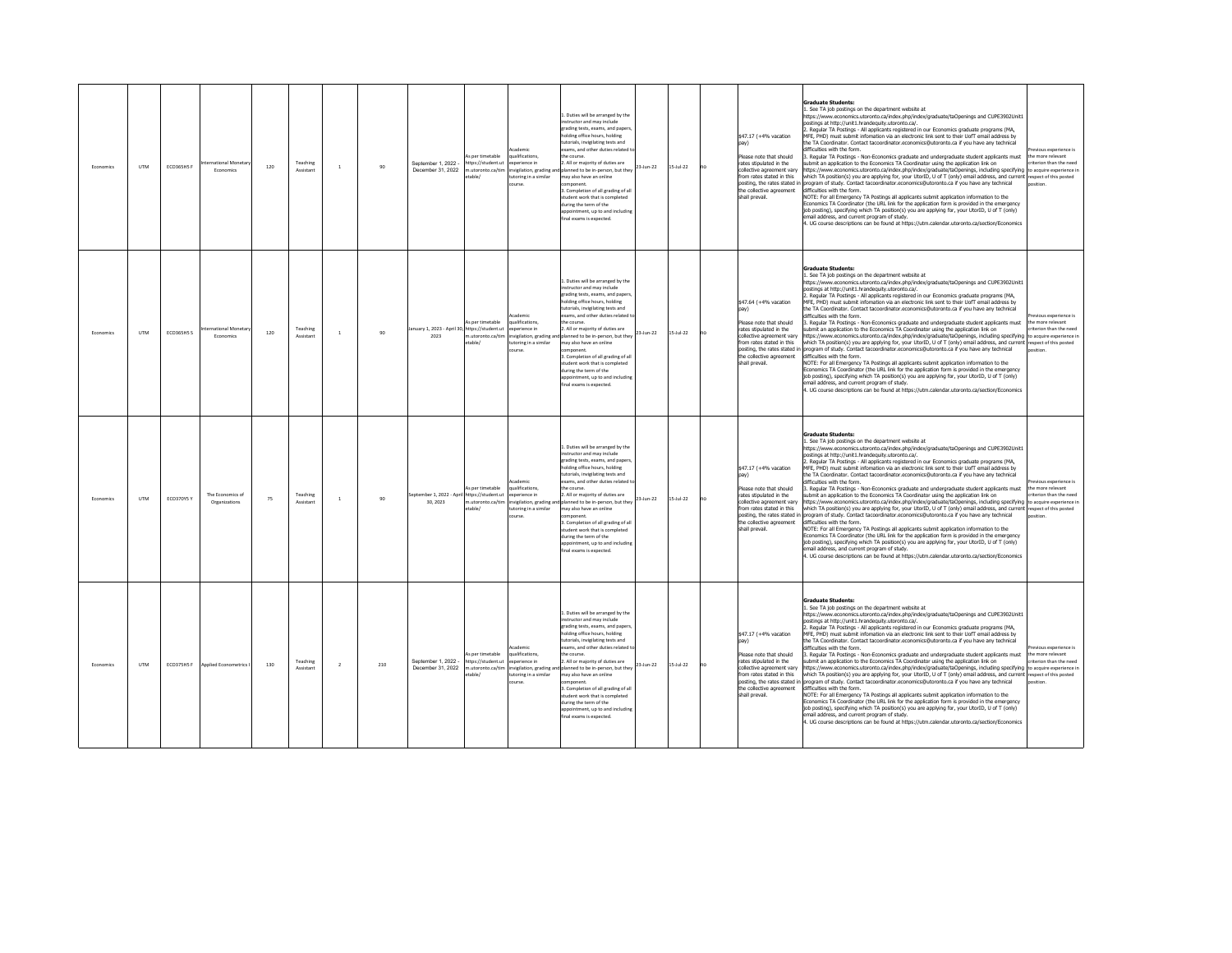| Fronomics | <b>LITM</b> | ECO365H5 F | mational Monetary<br>Economics    | 120 | Teaching<br>Assistant | $\mathbf{1}$            | 90  | September 1, 2022 -<br>December 31, 2022             | s per timetable<br>ttps://student.ut<br>n.utoronto.ca/tim<br>able/   | ademi<br>alifications,<br>werience in<br>nvigilation, grading and<br>utoring in a similar<br>nurse | 1. Duties will be arranged by the<br>nstructor and may include<br>trading tests, exams, and paper<br>holding office hours, holding<br>utorials, invigilating tests and<br>xams, and other duties related to<br>e course.<br>All or majority of duties are<br>planned to be in-person, but they<br>may also have an online<br>mnonent<br>3. Completion of all grading of all<br>student work that is completed<br>during the term of the<br>ppointment, up to and including<br>nal exams is expected.                           | 23-Jun-22 | $15 - \frac{1}{22}$ | no | \$47.17 (+4% vacation<br>Please note that should<br>rates stipulated in the<br>collective agreement vary<br>from rates stated in this<br>posting, the rates stated in<br>the collective agreement<br>shall prevail. | <b>Graduate Students:</b><br>. See TA job postings on the department website at<br>https://www.economics.utoronto.ca/index.php/index/graduate/taOpenings and CUPE3902Unit1<br>ostings at http://unit1.hrandequity.utoronto.ca/.<br>. Regular TA Postings - All applicants registered in our Economics graduate programs (MA,<br>MFE, PHD) must submit infomation via an electronic link sent to their UofT email address by<br>the TA Coordinator. Contact tacoordinator.economics@utoronto.ca if you have any technical<br>difficulties with the form<br>Regular TA Postings - Non-Economics graduate and undergraduate student applicants must<br>ubmit an application to the Economics TA Coordinator using the application link on<br>ttps://www.economics.utoronto.ca/index.php/index/graduate/taOpenings, including specifying to acquire experience in<br>which TA position(s) you are applying for, your UtorID, U of T (only) email address, and current respect of this posted<br>program of study. Contact tacoordinator.economics@utoronto.ca if you have any technical<br>difficulties with the form.<br>NOTE: For all Emergency TA Postings all applicants submit application information to the<br>Economics TA Coordinator (the URL link for the application form is provided in the emergency<br>job posting), specifying which TA position(s) you are applying for, your UtorID, U of T (only)<br>email address, and current program of study.<br>4. UG course descriptions can be found at https://utm.calendar.utoronto.ca/section/Economics                                    | vious experience is<br>he more relevant<br>riterion than the need   |
|-----------|-------------|------------|-----------------------------------|-----|-----------------------|-------------------------|-----|------------------------------------------------------|----------------------------------------------------------------------|----------------------------------------------------------------------------------------------------|--------------------------------------------------------------------------------------------------------------------------------------------------------------------------------------------------------------------------------------------------------------------------------------------------------------------------------------------------------------------------------------------------------------------------------------------------------------------------------------------------------------------------------|-----------|---------------------|----|---------------------------------------------------------------------------------------------------------------------------------------------------------------------------------------------------------------------|-----------------------------------------------------------------------------------------------------------------------------------------------------------------------------------------------------------------------------------------------------------------------------------------------------------------------------------------------------------------------------------------------------------------------------------------------------------------------------------------------------------------------------------------------------------------------------------------------------------------------------------------------------------------------------------------------------------------------------------------------------------------------------------------------------------------------------------------------------------------------------------------------------------------------------------------------------------------------------------------------------------------------------------------------------------------------------------------------------------------------------------------------------------------------------------------------------------------------------------------------------------------------------------------------------------------------------------------------------------------------------------------------------------------------------------------------------------------------------------------------------------------------------------------------------------------------------------------------------|---------------------------------------------------------------------|
| Economics | <b>UTM</b>  | ECO365H5 S | tional Monetar<br>Economics       | 120 | Teaching<br>Assistant | $\mathbf{1}$            | 90  | nuary 1, 2023 - April 30, https://student.ut<br>2023 | As per timetable<br>m.utoronto.ca/tim<br>table/                      | ademir<br>ualifications,<br>werience in<br>utoring in a similar<br>urse                            | Duties will be arranged by the<br>structor and may include<br>trading tests, exams, and paper:<br>holding office hours, holding<br>tutorials, invigilating tests and<br>xams, and other duties related<br>the course.<br>. All or majority of duties are<br>nvigilation, grading and planned to be in-person, but they<br>may also have an online<br>mponent.<br>3. Completion of all grading of all<br>tudent work that is completed<br>during the term of the<br>ppointment, up to and including<br>final exams is expected. | 23-Jun-22 | $15 -$ Jul-22       | no | \$47.64 (+4% vacation<br>Please note that should<br>rates stipulated in the<br>collective agreement vary<br>from rates stated in this<br>the collective agreement<br>shall prevail.                                 | <b>Graduate Students:</b><br>1. See TA job postings on the department website at<br>https://www.economics.utoronto.ca/index.php/index/graduate/taOpenings and CUPE3902Unit1<br>ostings at http://unit1.hrandequity.utoronto.ca/.<br>. Regular TA Postings - All applicants registered in our Economics graduate programs (MA,<br>MFE, PHD) must submit infomation via an electronic link sent to their UofT email address by<br>the TA Coordinator. Contact tacoordinator.economics@utoronto.ca if you have any technical<br>difficulties with the form.<br>3. Regular TA Postings - Non-Economics graduate and undergraduate student applicants must<br>ubmit an application to the Economics TA Coordinator using the application link on<br>https://www.economics.utoronto.ca/index.php/index/graduate/taOpenings, including specifying to acquire experience in<br>which TA position(s) you are applying for, your UtorID, U of T (only) email address, and current respect of this posted<br>posting, the rates stated in program of study. Contact tacoordinator.economics@utoronto.ca if you have any technical<br>difficulties with the form.<br>NOTE: For all Emergency TA Postings all applicants submit application information to the<br>Economics TA Coordinator (the URL link for the application form is provided in the emergency<br>job posting), specifying which TA position(s) you are applying for, your UtorID, U of T (only)<br>email address, and current program of study.<br>4. UG course descriptions can be found at https://utm.calendar.utoronto.ca/section/Economics | vious experience is<br>the more relevant<br>riterion than the need  |
| Economics | <b>LITM</b> | ECO370Y5 Y | The Economics of<br>Organizations | 75  | Teaching<br>Assistan  | $\mathbf{1}$            | 90  | eptember 1. 2022 - Apri<br>30.2023                   | As per timetable<br>https://student.ut<br>utoronto.ca/tim<br>table/  | cademic<br>ualifications<br>xperience in<br>vigilation, grading a<br>utoring in a similar<br>burse | L. Duties will be arranged by the<br>structor and may include<br>grading tests, exams, and paper:<br>olding office hours, holding<br>utorials, invigilating tests and<br>xams, and other duties related t<br>the course<br>. All or majority of duties are<br>planned to be in-person, but they<br>may also have an online<br>3. Completion of all grading of all<br>tudent work that is completed<br>during the term of the<br>sppointment, up to and including<br>inal exams is expected                                     | 23-Jun-22 | $5 -$ Jul-22        |    | \$47.17 (+4% vacation<br>Please note that should<br>rates stipulated in the<br>collective agreement varv<br>from rates stated in this<br>posting, the rates stated in<br>the collective agreement<br>shall prevail. | <b>Graduate Students:</b><br>1. See TA job postings on the department website at<br>https://www.economics.utoronto.ca/index.php/index/graduate/taOpenings and CUPE3902Unit1<br>nostinos at http://unit1.hrandeguity.utoronto.ca/.<br>. Regular TA Postings - All applicants registered in our Economics graduate programs (MA,<br>MEE. PHD) must submit infomation via an electronic link sent to their UofT email address by<br>the TA Coordinator, Contact tacoordinator, economics@utoronto.ca if you have any technical<br>lifficulties with the form.<br>. Regular TA Postings - Non-Economics graduate and undergraduate student applicants must<br>submit an application to the Economics TA Coordinator using the application link on<br>ittps://www.economics.utoronto.ca/index.php/index/graduate/taOpenings, including specifying to acquire experience in<br>which TA position(s) you are applying for, your UtorID, U of T (only) email address, and current respect of this posted<br>rogram of study. Contact tacoordinator.economics@utoronto.ca if you have any technical<br>difficulties with the form.<br>NOTE: For all Emergency TA Postings all applicants submit application information to the<br>Economics TA Coordinator (the URL link for the application form is provided in the emergency<br>job posting), specifying which TA position(s) you are applying for, your UtorID, U of T (only)<br>email address, and current program of study.<br>4. UG course descriptions can be found at https://utm.calendar.utoronto.ca/section/Economics                             | evious experience is<br>the more relevant<br>riterion than the need |
| Economics | <b>UTM</b>  | ECO375H5F  | Applied Econometrics              | 130 | Teaching<br>Assistant | $\overline{\mathbf{2}}$ | 210 | Sentember 1 2022<br>December 31 2022                 | As per timetable<br>https://student.ut<br>n utoronto ca/tim<br>able/ | <b>Academic</b><br>ualifications,<br>werience in<br>toring in a similar                            | 1. Duties will be arranged by the<br>nstructor and may include<br>rading tests, exams, and papers<br>olding office hours, holding<br>utorials, invigilating tests and<br>exams, and other duties related<br>he course.<br>2. All or majority of duties are<br>nvigilation, grading and planned to be in-person, but they<br>may also have an online<br>nponent<br>Completion of all grading of all<br>tudent work that is completed<br>during the term of the<br>pointment, up to and including<br>inal exams is expected.     | 23-Jun-22 | $15 -$ Jul-22       | no | \$47.17 (+4% vacation<br>Please note that should<br>rates stinulated in the<br>collective agreement vary<br>from rates stated in this<br>the collective agreement<br>shall prevail.                                 | <b>Graduate Students:</b><br>1. See TA job postings on the department website at<br>https://www.economics.utoronto.ca/index.php/index/graduate/taOpenings and CUPE3902Unit1<br>nostinos at http://unit1.hrandequity.utoronto.ca/.<br>. Regular TA Postings - All applicants registered in our Economics graduate programs (MA,<br>MFF. PHD) must submit infomation via an electronic link sent to their UofT email address by<br>the TA Coordinator, Contact tacoordinator, economics@utoronto.ca if you have any technical<br>difficulties with the form.<br>Regular TA Postings - Non-Economics graduate and undergraduate student applicants must<br>ubmit an application to the Economics TA Coordinator using the application link on<br>https://www.economics.utoronto.ca/index.php/index/graduate/taOpenings. including specifying to acquire experience in<br>which TA position(s) you are applying for, your UtorID, U of T (only) email address, and current respect of this posted<br>posting, the rates stated in program of study. Contact tacoordinator.economics@utoronto.ca if you have any technical<br>difficulties with the form.<br>NOTE: For all Emergency TA Postings all applicants submit application information to the<br>Economics TA Coordinator (the URL link for the application form is provided in the emergency<br>job posting), specifying which TA position(s) you are applying for, your UtorID, U of T (only)<br>mail address, and current program of study.<br>4. UG course descriptions can be found at https://utm.calendar.utoronto.ca/section/Economics   | evious experience is<br>the more relevant<br>riterion than the need |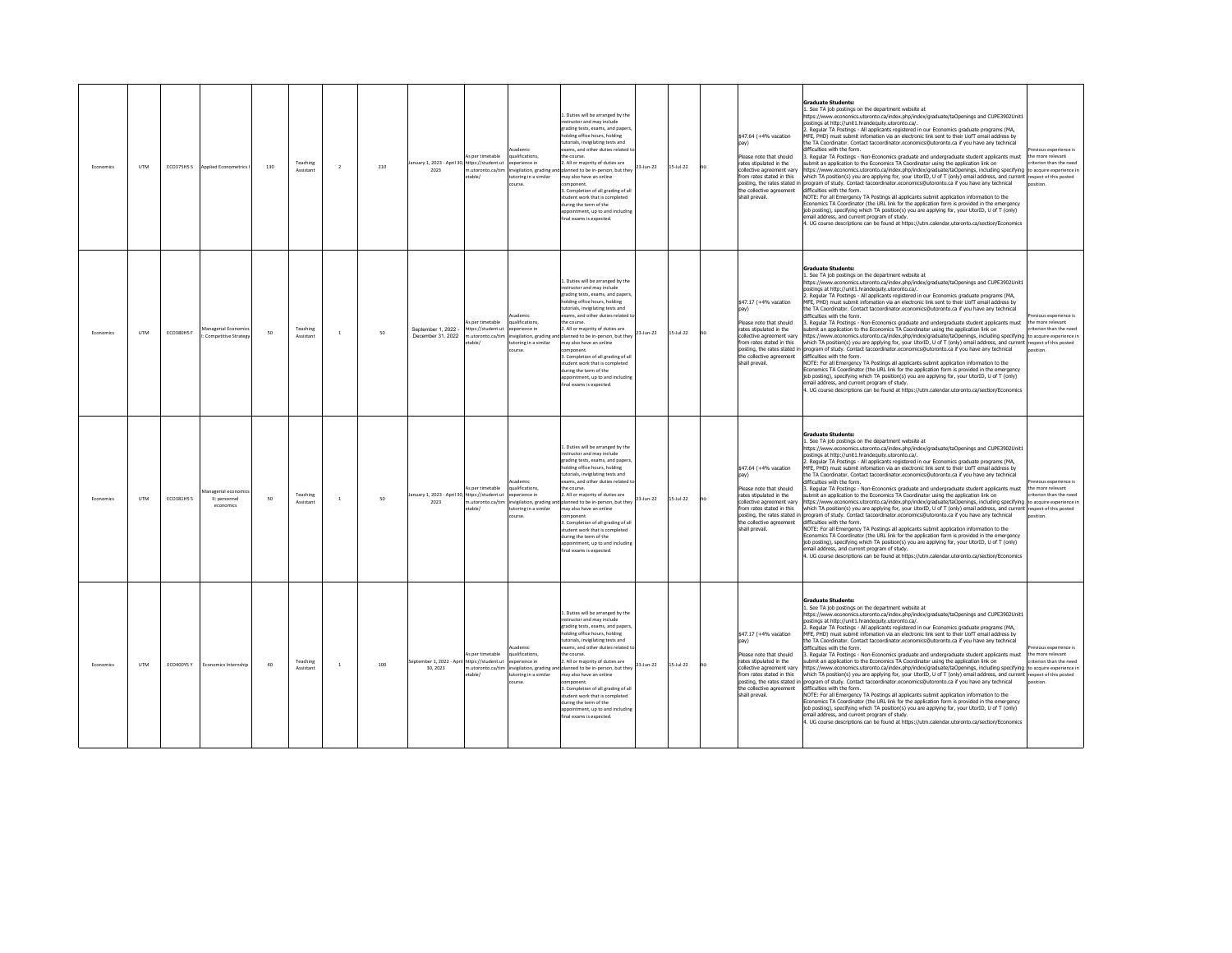| Fronomics | <b>LITM</b> | ECO375H5 S        | Applied Econometrics I                          | 130 | Teaching<br>Assistant | $\overline{2}$ | 210 | January 1, 2023 - April 30, https://student.ut<br>2023   | s per timetable<br>n.utoronto.ca/tim<br>table/                       | ademi<br>alifications,<br>werience in<br>nvigilation, grading and<br>utoring in a similar<br>nurse | 1. Duties will be arranged by the<br>nstructor and may include<br>trading tests, exams, and paper<br>holding office hours, holding<br>utorials, invigilating tests and<br>xams, and other duties related to<br>e course.<br>All or majority of duties are<br>planned to be in-person, but they<br>may also have an online<br>mnonent<br>3. Completion of all grading of all<br>student work that is completed<br>during the term of the<br>ppointment, up to and including<br>nal exams is expected.                          | 23-Jun-22 | $15 - \frac{1}{22}$ | no | \$47.64 (+4% vacation<br>Please note that should<br>rates stipulated in the<br>collective agreement varv<br>from rates stated in this<br>posting, the rates stated in<br>the collective agreement<br>shall prevail. | <b>Graduate Students:</b><br>. See TA job postings on the department website at<br>https://www.economics.utoronto.ca/index.php/index/graduate/taOpenings and CUPE3902Unit1<br>ostings at http://unit1.hrandequity.utoronto.ca/.<br>Regular TA Postings - All applicants registered in our Economics graduate programs (MA,<br>MFE, PHD) must submit infomation via an electronic link sent to their UofT email address by<br>the TA Coordinator. Contact tacoordinator.economics@utoronto.ca if you have any technical<br>difficulties with the form.<br>Regular TA Postings - Non-Economics graduate and undergraduate student applicants must<br>ubmit an application to the Economics TA Coordinator using the application link on<br>ttps://www.economics.utoronto.ca/index.php/index/graduate/taOpenings, including specifying to acquire experience in<br>which TA position(s) you are applying for, your UtorID, U of T (only) email address, and current respect of this posted<br>program of study. Contact tacoordinator economics@utoronto.ca if you have any technical<br>difficulties with the form.<br>NOTE: For all Emergency TA Postings all applicants submit application information to the<br>Economics TA Coordinator (the URL link for the application form is provided in the emergency<br>job posting), specifying which TA position(s) you are applying for, your UtorID, U of T (only)<br>email address, and current program of study.<br>4. UG course descriptions can be found at https://utm.calendar.utoronto.ca/section/Economics                                     | vious experience is<br>the more relevant<br>riterion than the need            |
|-----------|-------------|-------------------|-------------------------------------------------|-----|-----------------------|----------------|-----|----------------------------------------------------------|----------------------------------------------------------------------|----------------------------------------------------------------------------------------------------|-------------------------------------------------------------------------------------------------------------------------------------------------------------------------------------------------------------------------------------------------------------------------------------------------------------------------------------------------------------------------------------------------------------------------------------------------------------------------------------------------------------------------------|-----------|---------------------|----|---------------------------------------------------------------------------------------------------------------------------------------------------------------------------------------------------------------------|-----------------------------------------------------------------------------------------------------------------------------------------------------------------------------------------------------------------------------------------------------------------------------------------------------------------------------------------------------------------------------------------------------------------------------------------------------------------------------------------------------------------------------------------------------------------------------------------------------------------------------------------------------------------------------------------------------------------------------------------------------------------------------------------------------------------------------------------------------------------------------------------------------------------------------------------------------------------------------------------------------------------------------------------------------------------------------------------------------------------------------------------------------------------------------------------------------------------------------------------------------------------------------------------------------------------------------------------------------------------------------------------------------------------------------------------------------------------------------------------------------------------------------------------------------------------------------------------------------|-------------------------------------------------------------------------------|
| Economics | <b>UTM</b>  | ECO380H5 F        | Aanagerial Economic<br>Competitive Strategy     | 50  | Teaching<br>Assistant | $\mathbf{1}$   | 50  | September 1, 2022 -<br>December 31, 2022                 | As per timetable<br>https://student.ut<br>n.utoronto.ca/tim<br>able/ | ademir<br>ualifications,<br>werience in<br>utoring in a similar<br>urse                            | Duties will be arranged by the<br>structor and may include<br>trading tests, exams, and paper:<br>holding office hours, holding<br>tutorials, invigilating tests and<br>xams, and other duties related<br>the course.<br>. All or majority of duties are<br>nvigilation, grading and planned to be in-person, but they<br>may also have an online<br>mponent.<br>3. Completion of all grading of all<br>tudent work that is completed<br>during the term of the<br>pointment, up to and including<br>final exams is expected. | 23-Jun-22 | $15 -$ Jul-22       | no | \$47.17 (+4% vacation<br>Please note that should<br>rates stipulated in the<br>collective agreement vary<br>from rates stated in this<br>the collective agreement<br>shall prevail.                                 | <b>Graduate Students:</b><br>1. See TA job postings on the department website at<br>https://www.economics.utoronto.ca/index.php/index/graduate/taOpenings and CUPE3902Unit1<br>ostings at http://unit1.hrandequity.utoronto.ca/.<br>. Regular TA Postings - All applicants registered in our Economics graduate programs (MA,<br>MFE, PHD) must submit infomation via an electronic link sent to their UofT email address by<br>the TA Coordinator. Contact tacoordinator.economics@utoronto.ca if you have any technical<br>difficulties with the form.<br>3. Regular TA Postings - Non-Economics graduate and undergraduate student applicants must<br>ubmit an application to the Economics TA Coordinator using the application link on<br>https://www.economics.utoronto.ca/index.php/index/graduate/taOpenings, including specifying to acquire experience in<br>which TA position(s) you are applying for, your UtorID, U of T (only) email address, and current respect of this posted<br>posting, the rates stated in program of study. Contact tacoordinator.economics@utoronto.ca if you have any technical<br>difficulties with the form.<br>NOTE: For all Emergency TA Postings all applicants submit application information to the<br>Economics TA Coordinator (the URL link for the application form is provided in the emergency<br>job posting), specifying which TA position(s) you are applying for, your UtorID, U of T (only)<br>email address, and current program of study.<br>4. UG course descriptions can be found at https://utm.calendar.utoronto.ca/section/Economics | vious experience is<br>the more relevant<br>riterion than the need<br>osition |
| Economics | <b>UTM</b>  | <b>ECO381H5 S</b> | anagerial economi<br>II: personnel<br>economics | 50  | Teaching<br>Assistan  | $\mathbf{1}$   | 50  | anuary 1, 2023 - April 30, https://student.ut<br>2023    | As per timetable<br>utoronto.ca/tim<br>table/                        | cademic<br>ualifications<br>xperience in<br>vigilation, grading a<br>utoring in a similar<br>burse | L. Duties will be arranged by the<br>structor and may include<br>grading tests, exams, and paper:<br>olding office hours, holding<br>utorials, invigilating tests and<br>xams, and other duties related t<br>the course<br>. All or majority of duties are<br>planned to be in-person, but they<br>may also have an online<br>3. Completion of all grading of all<br>tudent work that is completed<br>during the term of the<br>sppointment, up to and including<br>inal exams is expected                                    | 23-Jun-22 | $5 -$ Jul-22        |    | \$47.64 (+4% vacation<br>Please note that should<br>rates stipulated in the<br>collective agreement varv<br>from rates stated in this<br>posting, the rates stated in<br>the collective agreement<br>shall prevail. | <b>Graduate Students:</b><br>1. See TA job postings on the department website at<br>https://www.economics.utoronto.ca/index.php/index/graduate/taOpenings and CUPE3902Unit1<br>oostings at http://unit1.hrandequity.utoronto.ca/.<br>. Regular TA Postings - All applicants registered in our Economics graduate programs (MA,<br>MEE. PHD) must submit infomation via an electronic link sent to their UofT email address by<br>the TA Coordinator, Contact tacoordinator, economics@utoronto.ca if you have any technical<br>lifficulties with the form.<br>. Regular TA Postings - Non-Economics graduate and undergraduate student applicants must<br>submit an application to the Economics TA Coordinator using the application link on<br>ittps://www.economics.utoronto.ca/index.php/index/graduate/taOpenings, including specifying to acquire experience in<br>which TA position(s) you are applying for, your UtorID, U of T (only) email address, and current respect of this posted<br>rogram of study. Contact tacoordinator.economics@utoronto.ca if you have any technical<br>difficulties with the form.<br>NOTE: For all Emergency TA Postings all applicants submit application information to the<br>Economics TA Coordinator (the URL link for the application form is provided in the emergency<br>job posting), specifying which TA position(s) you are applying for, your UtorID, U of T (only)<br>email address, and current program of study.<br>4. UG course descriptions can be found at https://utm.calendar.utoronto.ca/section/Economics                             | evious experience is<br>the more relevant<br>riterion than the need           |
| Economics | <b>UTM</b>  | ECO400Y5 Y        | Economics Internship                            | 40  | Teaching<br>Assistant | $\mathbf{1}$   | 100 | September 1. 2022 - April Inttps://student.ut<br>30 2023 | As per timetable<br>m utoronto ca/tim<br>table/                      | cademic<br>ualifications,<br>werience in<br>toring in a similar                                    | 1. Duties will be arranged by the<br>nstructor and may include<br>rading tests, exams, and papers<br>olding office hours, holding<br>utorials, invigilating tests and<br>exams, and other duties related<br>he course.<br>. All or majority of duties are<br>vigilation, grading and planned to be in-person, but they<br>may also have an online<br>nponent<br>. Completion of all grading of all<br>tudent work that is completed<br>during the term of the<br>pointment, up to and including<br>inal exams is expected.    | 23-Jun-22 | $15 -$ Jul-22       | no | \$47.17 (+4% vacation<br>Please note that should<br>rates stinulated in the<br>collective agreement vary<br>from rates stated in this<br>the collective agreement<br>shall prevail.                                 | <b>Graduate Students:</b><br>1. See TA job postings on the department website at<br>https://www.economics.utoronto.ca/index.php/index/graduate/taOpenings and CUPE3902Unit1<br>nostinos at http://unit1.hrandequity.utoronto.ca/.<br>. Regular TA Postings - All applicants registered in our Economics graduate programs (MA,<br>MEE. PHD) must submit infomation via an electronic link sent to their UofT email address by<br>the TA Coordinator, Contact tacoordinator, economics@utoronto.ca if you have any technical<br>difficulties with the form.<br>Regular TA Postings - Non-Economics graduate and undergraduate student applicants must<br>ubmit an application to the Economics TA Coordinator using the application link on<br>https://www.economics.utoronto.ca/index.php/index/graduate/taOpenings. including specifying to acquire experience in<br>which TA position(s) you are applying for, your UtorID, U of T (only) email address, and current respect of this posted<br>posting, the rates stated in program of study. Contact tacoordinator.economics@utoronto.ca if you have any technical<br>difficulties with the form.<br>NOTE: For all Emergency TA Postings all applicants submit application information to the<br>Economics TA Coordinator (the URL link for the application form is provided in the emergency<br>job posting), specifying which TA position(s) you are applying for, your UtorID, U of T (only)<br>mail address, and current program of study.<br>4. UG course descriptions can be found at https://utm.calendar.utoronto.ca/section/Economics   | evious experience is<br>the more relevant<br>riterion than the need           |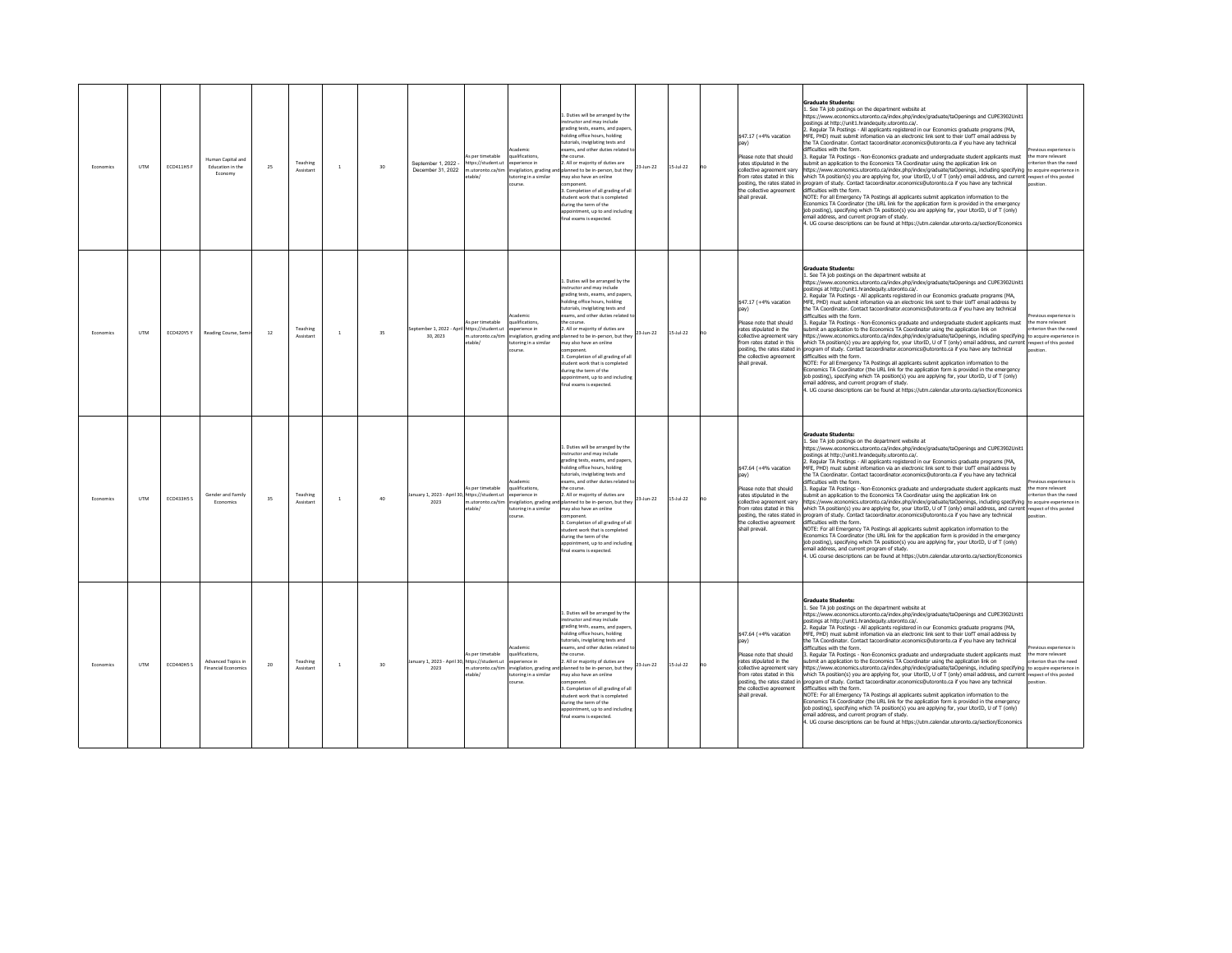| Fronomics | <b>LITM</b> | <b>ECO411H5 F</b> | Human Canital and<br>Education in the<br>Economy | 25     | Teaching<br>Assistant | $\mathbf{1}$ | 30 | September 1, 2022 -<br>December 31, 2022               | s per timetable<br>https://student.ut<br>m.utoronto.ca/tim<br>table/ | <b>rademir</b><br>ualifications,<br>soerience in<br>invigilation, grading and<br>utoring in a similar<br>course. | 1. Duties will be arranged by the<br>nstructor and may include<br>grading tests, exams, and paper<br>olding office hours, holding<br>utorials, invigilating tests and<br>xams, and other duties related t<br>e course<br>All or majority of duties are<br>23-Jun-22<br>lanned to be in-person, but they<br>may also have an online<br>mponent.<br>3. Completion of all grading of all<br>tudent work that is completed<br>luring the term of the<br>opointment, up to and includin<br>al exams is expected.                                                 | $15 - \frac{1}{22}$ | no | \$47.17 (+4% vacation<br>Please note that should<br>rates stipulated in the<br>collective agreement varv<br>from rates stated in this<br>posting, the rates stated in<br>the collective agreement<br>shall prevail.         | Graduate Students:<br>See TA job postings on the department website at<br>https://www.economics.utoronto.ca/index.php/index/graduate/taOpenings and CUPE3902Unit1<br>ostings at http://unit1.hrandequity.utoronto.ca/.<br>Regular TA Postings - All applicants registered in our Economics graduate programs (MA,<br>MFE, PHD) must submit infomation via an electronic link sent to their UofT email address by<br>ne TA Coordinator. Contact tacoordinator.economics@utoronto.ca if you have any technical<br>lifficulties with the form.<br>Regular TA Postings - Non-Economics graduate and undergraduate student applicants must<br>ubmit an application to the Economics TA Coordinator using the application link on<br>ttps://www.economics.utoronto.ca/index.php/index/graduate/taOpenings, including specifying to acquire experience in<br>which TA position(s) you are applying for, your UtorID, U of T (only) email address, and current respect of this posted<br>rogram of study. Contact tacoordinator.economics@utoronto.ca if you have any technical<br>lifficulties with the form.<br>VOTE: For all Emergency TA Postings all applicants submit application information to the<br>Economics TA Coordinator (the URL link for the application form is provided in the emergency<br>job posting), specifying which TA position(s) you are applying for, your UtorID, U of T (only)<br>mail address, and current program of study.<br>4. UG course descriptions can be found at https://utm.calendar.utoronto.ca/section/Economics                                       | vious experience is<br>he more relevant<br>riterion than the need   |
|-----------|-------------|-------------------|--------------------------------------------------|--------|-----------------------|--------------|----|--------------------------------------------------------|----------------------------------------------------------------------|------------------------------------------------------------------------------------------------------------------|-------------------------------------------------------------------------------------------------------------------------------------------------------------------------------------------------------------------------------------------------------------------------------------------------------------------------------------------------------------------------------------------------------------------------------------------------------------------------------------------------------------------------------------------------------------|---------------------|----|-----------------------------------------------------------------------------------------------------------------------------------------------------------------------------------------------------------------------------|-------------------------------------------------------------------------------------------------------------------------------------------------------------------------------------------------------------------------------------------------------------------------------------------------------------------------------------------------------------------------------------------------------------------------------------------------------------------------------------------------------------------------------------------------------------------------------------------------------------------------------------------------------------------------------------------------------------------------------------------------------------------------------------------------------------------------------------------------------------------------------------------------------------------------------------------------------------------------------------------------------------------------------------------------------------------------------------------------------------------------------------------------------------------------------------------------------------------------------------------------------------------------------------------------------------------------------------------------------------------------------------------------------------------------------------------------------------------------------------------------------------------------------------------------------------------------------------------|---------------------------------------------------------------------|
| Economics | <b>UTM</b>  | ECO420Y5 Y        | Reading Course, Sem                              | 12     | Teaching<br>Assistan  | $\mathbf{1}$ | 35 | stember 1, 2022 - April https://student.ut<br>30, 2023 | As per timetable<br>table/                                           | cademic<br>qualifications.<br>xperience in<br>utoring in a similar<br>purse.                                     | . Duties will be arranged by the<br>nstructor and may include<br>grading tests, exams, and papers<br>holding office hours, holding<br>utorials, invigilating tests and<br>xams, and other duties related<br>the course<br>2. All or majority of duties are<br>23-Jun-22<br>m.utoronto.ca/tim invigilation, grading and planned to be in-person, but they<br>hay also have an online<br>mponent.<br>Completion of all grading of all<br>tudent work that is completed<br>uring the term of the<br>ppointment, up to and including<br>inal exams is expected. | $15 - \frac{1}{22}$ | no | \$47.17 (+4% vacation<br>Please note that should<br>rates stipulated in the<br>collective agreement vary<br>from rates stated in this<br>the collective agreement<br>shall prevail.                                         | <b>Graduate Students:</b><br>. See TA job postings on the department website at<br>https://www.economics.utoronto.ca/index.php/index/graduate/taOpenings and CUPE3902Unit1<br>ostings at http://unit1.hrandequity.utoronto.ca/.<br>Regular TA Postings - All applicants registered in our Economics graduate programs (MA,<br>MFE, PHD) must submit infomation via an electronic link sent to their UofT email address by<br>he TA Coordinator. Contact tacoordinator.economics@utoronto.ca if you have any technical<br>lifficulties with the form.<br>3. Regular TA Postings - Non-Economics graduate and undergraduate student applicants must<br>bmit an application to the Economics TA Coordinator using the application link on<br>ittps://www.economics.utoronto.ca/index.php/index/graduate/taOpenings, including specifying to acquire experience in<br>vhich TA position(s) you are applying for, your UtorID, U of T (only) email address, and current respect of this posted<br>posting, the rates stated in program of study. Contact tacoordinator.economics@utoronto.ca if you have any technical<br>lifficulties with the form.<br>NOTE: For all Emergency TA Postings all applicants submit application information to the<br>conomics TA Coordinator (the URL link for the application form is provided in the emergency<br>job posting), specifying which TA position(s) you are applying for, your UtorID, U of T (only)<br>mail address, and current program of study.<br>UG course descriptions can be found at https://utm.calendar.utoronto.ca/section/Economics | vious experience is<br>the more relevant<br>riterion than the need  |
| Fronomics | <b>UTM</b>  | <b>ECO433H5 S</b> | Gender and Family<br>Economics                   | 35     | Teaching<br>Assistan  | $\mathbf{1}$ | 40 | anuary 1, 2023 - April 30, https://student.ut<br>2023  | As ner timetable<br>1.utoronto.ca/tim<br>etable/                     | <b>Academic</b><br>aualifications<br>experience in<br>wigilation, grading ar<br>utoring in a similar<br>ourse    | 1. Duties will be arranged by the<br>structor and may include<br>grading tests, exams, and papers<br>olding office hours, holding<br>tutorials, invigilating tests and<br>xams, and other duties related<br>the course<br>2. All or majority of duties are<br>23-Jun-22<br>planned to be in-person, but they<br>may also have an online<br>nponent<br>3. Completion of all grading of all<br>tudent work that is completed<br>during the term of the<br>ppointment up to and including<br>inal exams is expected                                            | $5 -$ Jul-22        |    | \$47.64 (+4% vacation<br>pay)<br>Please note that should<br>rates stipulated in the<br>collective agreement vary<br>from rates stated in this<br>posting, the rates stated in<br>the collective agreement<br>shall prevail. | <b>Graduate Students:</b><br>. See TA job postings on the department website at<br>https://www.economics.utoronto.ca/index.php/index/graduate/taOpenings and CUPE3902Unit1<br>ostinos at http://unit1.hrandequity.utoronto.ca/.<br>. Regular TA Postings - All applicants registered in our Economics graduate programs (MA,<br>MEE. PHD) must submit information via an electronic link sent to their UofT email address by<br>the TA Coordinator, Contact tacoordinator, economics@utoronto.ca if you have any technical<br>lifficulties with the form.<br>. Regular TA Postings - Non-Economics graduate and undergraduate student applicants must<br>submit an application to the Economics TA Coordinator using the application link on<br>ttps://www.economics.utoronto.ca/index.php/index/graduate/taOpenings, including specifying to acquire experience in<br>hich TA position(s) you are applying for, your UtorID, U of T (only) email address, and current respect of this posted<br>ogram of study. Contact tacoordinator.economics@utoronto.ca if you have any technical<br>difficulties with the form.<br>NOTE: For all Emergency TA Postings all applicants submit application information to the<br>conomics TA Coordinator (the URL link for the application form is provided in the emergency<br>ob posting), specifying which TA position(s) you are applying for, your UtorID, U of T (only)<br>email address, and current program of study.<br>. UG course descriptions can be found at https://utm.calendar.utoronto.ca/section/Economics                          | evious experience is<br>the more relevant<br>riterion than the need |
| Economic: | <b>UTM</b>  | ECO440H5 S        | Advanced Topics in<br><b>Financial Fconomics</b> | $20\,$ | Teaching<br>Assistant | $\,1\,$      | 30 | January 1, 2023 - April 30. https://student.ut<br>2023 | As per timetable<br>etable/                                          | <b>Icademic</b><br>qualifications,<br>soerience in<br>toring in a similar<br>burse                               | 1. Duties will be arranged by the<br>instructor and may include<br>rading tests, exams, and papers<br>olding office hours, holding<br>torials, invigilating tests and<br>xams, and other duties related<br>he course.<br>2. All or majority of duties are<br>23-Jun-22<br>m.utoronto.ca/tim invigilation, grading and planned to be in-person, but they<br>nay also have an online<br>mponent.<br>. Completion of all grading of al<br>tudent work that is completed<br>uring the term of the<br>pointment, up to and including<br>nal exams is expected.   | $15 -$ Jul-22       | no | \$47.64 (+4% vacation<br>Please note that should<br>rates stinulated in the<br>collective agreement vary<br>from rates stated in this<br>posting, the rates stated in<br>the collective agreement<br>shall prevail.         | <b>Graduate Students:</b><br>1. See TA job postings on the department website at<br>https://www.economics.utoronto.ca/index.php/index/graduate/taOpenings and CUPE3902Unit1<br>nostinos at http://unit1.hrandequity.utoronto.ca/.<br>Regular TA Postings - All applicants registered in our Economics graduate programs (MA,<br>MEE. PHD) must submit infomation via an electronic link sent to their UofT email address by<br>he TA Coordinator, Contact tacoordinator.economics@utoronto.ca if you have any technical<br>lifficulties with the form.<br>Regular TA Postings - Non-Economics graduate and undergraduate student applicants must<br>ubmit an application to the Economics TA Coordinator using the application link on<br>https://www.economics.utoronto.ca/index.php/index/graduate/taOpenings, including specifying to acquire experience in<br>which TA position(s) you are applying for, your UtorID, U of T (only) email address, and current respect of this posted<br>program of study. Contact tacoordinator.economics@utoronto.ca if you have any technical<br>lifficulties with the form.<br>NOTE: For all Emergency TA Postings all applicants submit application information to the<br>conomics TA Coordinator (the URL link for the application form is provided in the emergency<br>job posting), specifying which TA position(s) you are applying for, your UtorID, U of T (only)<br>nail address, and current program of study.<br>4. UG course descriptions can be found at https://utm.calendar.utoronto.ca/section/Economics                           | evious experience is<br>the more relevant<br>riterion than the need |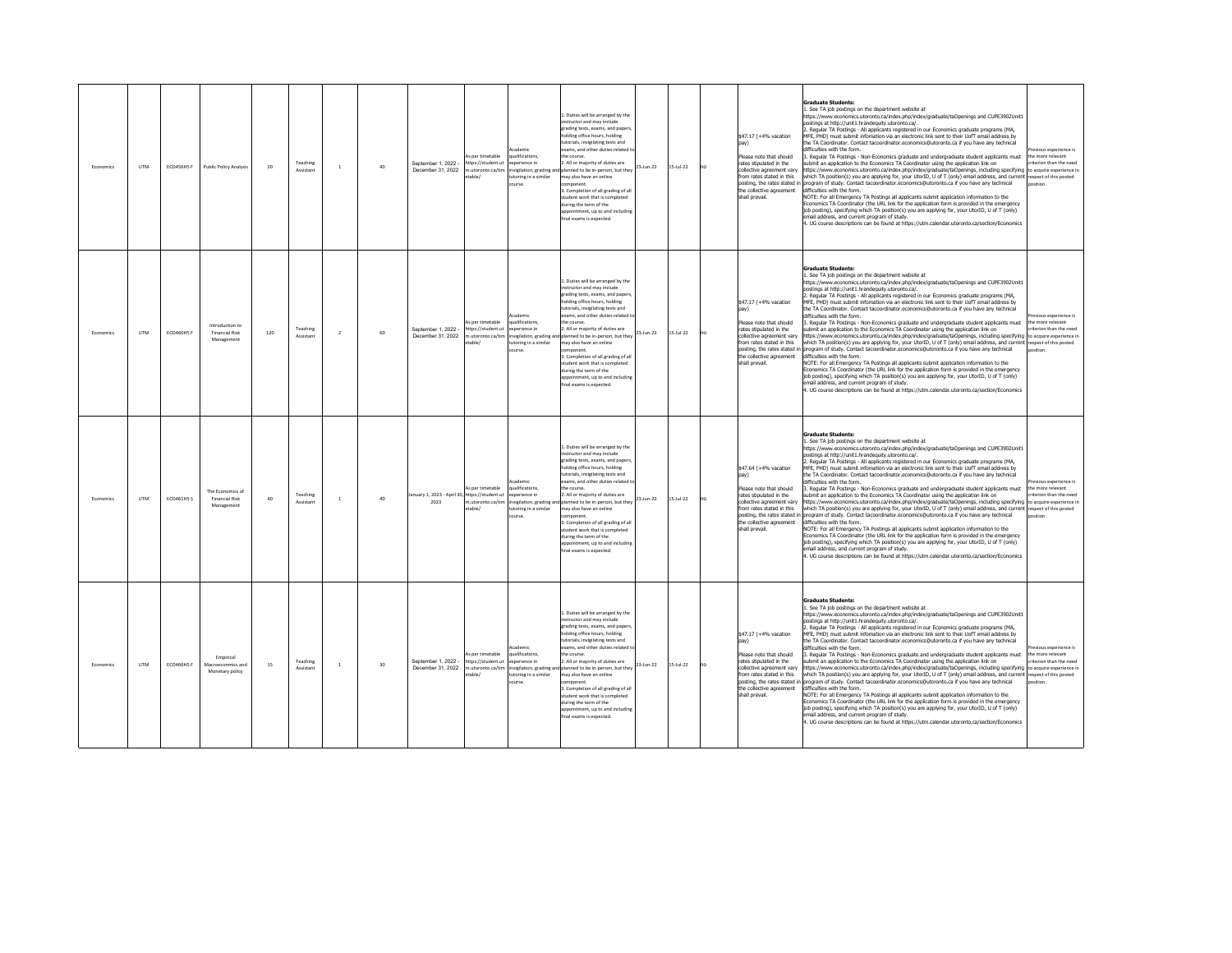| Fronomics | <b>LITM</b> | ECO456H5 F        | <b>Public Policy Analysis</b>                           | 20  | Teaching<br>Assistant | $\mathbf{1}$   | 40 | September 1, 2022 -<br>December 31, 2022              | s per timetable<br>https://student.ut<br>n.utoronto.ca/tim<br>able/  | ademi<br>alifications,<br>werience in<br>nvigilation, grading and<br>utoring in a similar<br>nurse | 1. Duties will be arranged by the<br>nstructor and may include<br>grading tests, exams, and paper<br>holding office hours, holding<br>utorials, invigilating tests and<br>xams, and other duties related to<br>e course.<br>All or majority of duties are<br>planned to be in-person, but they<br>may also have an online<br>mnonent<br>3. Completion of all grading of all<br>student work that is completed<br>during the term of the<br>ppointment, up to and including<br>nal exams is expected.                           | 23-Jun-22 | $15 - \frac{1}{22}$ | no | \$47.17 (+4% vacation<br>Please note that should<br>rates stipulated in the<br>collective agreement vary<br>from rates stated in this<br>posting, the rates stated in<br>the collective agreement<br>shall prevail. | <b>Graduate Students:</b><br>. See TA job postings on the department website at<br>https://www.economics.utoronto.ca/index.php/index/graduate/taOpenings and CUPE3902Unit1<br>ostings at http://unit1.hrandequity.utoronto.ca/.<br>. Regular TA Postings - All applicants registered in our Economics graduate programs (MA,<br>MFE, PHD) must submit infomation via an electronic link sent to their UofT email address by<br>the TA Coordinator. Contact tacoordinator.economics@utoronto.ca if you have any technical<br>difficulties with the form<br>Regular TA Postings - Non-Economics graduate and undergraduate student applicants must<br>ubmit an application to the Economics TA Coordinator using the application link on<br>ttps://www.economics.utoronto.ca/index.php/index/graduate/taOpenings, including specifying to acquire experience in<br>which TA position(s) you are applying for, your UtorID, U of T (only) email address, and current respect of this posted<br>program of study. Contact tacoordinator economics@utoronto.ca if you have any technical<br>difficulties with the form.<br>NOTE: For all Emergency TA Postings all applicants submit application information to the<br>Economics TA Coordinator (the URL link for the application form is provided in the emergency<br>job posting), specifying which TA position(s) you are applying for, your UtorID, U of T (only)<br>email address, and current program of study.<br>4. UG course descriptions can be found at https://utm.calendar.utoronto.ca/section/Economics                                    | vious experience is<br>he more relevant<br>riterion than the need             |
|-----------|-------------|-------------------|---------------------------------------------------------|-----|-----------------------|----------------|----|-------------------------------------------------------|----------------------------------------------------------------------|----------------------------------------------------------------------------------------------------|--------------------------------------------------------------------------------------------------------------------------------------------------------------------------------------------------------------------------------------------------------------------------------------------------------------------------------------------------------------------------------------------------------------------------------------------------------------------------------------------------------------------------------|-----------|---------------------|----|---------------------------------------------------------------------------------------------------------------------------------------------------------------------------------------------------------------------|-----------------------------------------------------------------------------------------------------------------------------------------------------------------------------------------------------------------------------------------------------------------------------------------------------------------------------------------------------------------------------------------------------------------------------------------------------------------------------------------------------------------------------------------------------------------------------------------------------------------------------------------------------------------------------------------------------------------------------------------------------------------------------------------------------------------------------------------------------------------------------------------------------------------------------------------------------------------------------------------------------------------------------------------------------------------------------------------------------------------------------------------------------------------------------------------------------------------------------------------------------------------------------------------------------------------------------------------------------------------------------------------------------------------------------------------------------------------------------------------------------------------------------------------------------------------------------------------------------|-------------------------------------------------------------------------------|
| Economics | <b>UTM</b>  | ECO460HS F        | Introduction to<br><b>Financial Risk</b><br>Management  | 120 | Teaching<br>Assistant | $\overline{2}$ | 60 | September 1, 2022 -<br>December 31, 2022              | As per timetable<br>https://student.ut<br>n.utoronto.ca/tim<br>able/ | ademir<br>ualifications,<br>merience in<br>utoring in a similar<br>urse                            | Duties will be arranged by the<br>structor and may include<br>trading tests, exams, and paper:<br>holding office hours, holding<br>tutorials, invigilating tests and<br>xams, and other duties related<br>the course.<br>. All or majority of duties are<br>nvigilation, grading and planned to be in-person, but they<br>may also have an online<br>mponent.<br>3. Completion of all grading of all<br>tudent work that is completed<br>during the term of the<br>ppointment, up to and including<br>final exams is expected. | 23-Jun-22 | $15 -$ Jul-22       | no | \$47.17 (+4% vacation<br>Please note that should<br>rates stipulated in the<br>collective agreement vary<br>from rates stated in this<br>the collective agreement<br>shall prevail.                                 | <b>Graduate Students:</b><br>1. See TA job postings on the department website at<br>https://www.economics.utoronto.ca/index.php/index/graduate/taOpenings and CUPE3902Unit1<br>ostings at http://unit1.hrandequity.utoronto.ca/.<br>. Regular TA Postings - All applicants registered in our Economics graduate programs (MA,<br>MFE, PHD) must submit infomation via an electronic link sent to their UofT email address by<br>the TA Coordinator. Contact tacoordinator.economics@utoronto.ca if you have any technical<br>difficulties with the form.<br>3. Regular TA Postings - Non-Economics graduate and undergraduate student applicants must<br>ubmit an application to the Economics TA Coordinator using the application link on<br>https://www.economics.utoronto.ca/index.php/index/graduate/taOpenings, including specifying to acquire experience in<br>which TA position(s) you are applying for, your UtorID, U of T (only) email address, and current respect of this posted<br>posting, the rates stated in program of study. Contact tacoordinator.economics@utoronto.ca if you have any technical<br>difficulties with the form.<br>NOTE: For all Emergency TA Postings all applicants submit application information to the<br>Economics TA Coordinator (the URL link for the application form is provided in the emergency<br>job posting), specifying which TA position(s) you are applying for, your UtorID, U of T (only)<br>email address, and current program of study.<br>4. UG course descriptions can be found at https://utm.calendar.utoronto.ca/section/Economics | vious experience is<br>the more relevant<br>riterion than the need<br>osition |
| Economics | <b>LITM</b> | <b>ECO461H5 S</b> | The Economics of<br><b>Financial Risk</b><br>Management | 40  | Teaching<br>Assistan  | $\mathbf{1}$   | 40 | anuary 1, 2023 - April 30, https://student.ut<br>2023 | As per timetable<br>utoronto.ca/tim<br>table/                        | cademic<br>ualifications<br>xperience in<br>vigilation, grading a<br>utoring in a similar<br>burse | L. Duties will be arranged by the<br>structor and may include<br>grading tests, exams, and papers<br>olding office hours, holding<br>utorials, invigilating tests and<br>exams, and other duties related t<br>the course<br>. All or majority of duties are<br>planned to be in-person, but they<br>may also have an online<br>3. Completion of all grading of all<br>tudent work that is completed<br>during the term of the<br>sppointment, up to and including<br>inal exams is expected                                    | 23-Jun-22 | $5 -$ Jul-22        |    | \$47.64 (+4% vacation<br>Please note that should<br>rates stipulated in the<br>collective agreement varv<br>from rates stated in this<br>posting, the rates stated in<br>the collective agreement<br>shall prevail. | <b>Graduate Students:</b><br>1. See TA job postings on the department website at<br>https://www.economics.utoronto.ca/index.php/index/graduate/taOpenings and CUPE3902Unit1<br>nostinos at http://unit1.hrandeguity.utoronto.ca/.<br>. Regular TA Postings - All applicants registered in our Economics graduate programs (MA,<br>MEE. PHD) must submit infomation via an electronic link sent to their UofT email address by<br>the TA Coordinator, Contact tacoordinator, economics@utoronto.ca if you have any technical<br>lifficulties with the form.<br>. Regular TA Postings - Non-Economics graduate and undergraduate student applicants must<br>submit an application to the Economics TA Coordinator using the application link on<br>ittps://www.economics.utoronto.ca/index.php/index/graduate/taOpenings, including specifying to acquire experience in<br>which TA position(s) you are applying for, your UtorID, U of T (only) email address, and current respect of this posted<br>rogram of study. Contact tacoordinator.economics@utoronto.ca if you have any technical<br>difficulties with the form.<br>NOTE: For all Emergency TA Postings all applicants submit application information to the<br>Economics TA Coordinator (the URL link for the application form is provided in the emergency<br>job posting), specifying which TA position(s) you are applying for, your UtorID, U of T (only)<br>email address, and current program of study.<br>4. UG course descriptions can be found at https://utm.calendar.utoronto.ca/section/Economics                             | evious experience is<br>the more relevant<br>riterion than the need           |
| Economics | <b>UTM</b>  | <b>ECO466HSF</b>  | Empirical<br>Macroeconmics and<br>Monetary policy       | 15  | Teaching<br>Assistant | $\,1\,$        | 30 | Sentember 1 2022<br>December 31 2022                  | As per timetable<br>https://student.ut<br>n utoronto ca/tim<br>able/ | <b>Academic</b><br>ualifications,<br>werience in<br>toring in a similar                            | 1. Duties will be arranged by the<br>nstructor and may include<br>rading tests, exams, and papers<br>olding office hours, holding<br>utorials, invigilating tests and<br>exams, and other duties related<br>he course.<br>2. All or majority of duties are<br>nvigilation, grading and planned to be in-person, but they<br>may also have an online<br>nponent<br>Completion of all grading of all<br>tudent work that is completed<br>during the term of the<br>pointment, up to and including<br>inal exams is expected.     | 23-Jun-22 | $15 -$ Jul-22       | no | \$47.17 (+4% vacation<br>Please note that should<br>rates stinulated in the<br>collective agreement vary<br>from rates stated in this<br>the collective agreement<br>shall prevail.                                 | <b>Graduate Students:</b><br>1. See TA job postings on the department website at<br>https://www.economics.utoronto.ca/index.php/index/graduate/taOpenings and CUPE3902Unit1<br>nostinos at http://unit1.hrandequity.utoronto.ca/.<br>. Regular TA Postings - All applicants registered in our Economics graduate programs (MA,<br>MFF. PHD) must submit infomation via an electronic link sent to their UofT email address by<br>the TA Coordinator, Contact tacoordinator, economics@utoronto.ca if you have any technical<br>difficulties with the form.<br>Regular TA Postings - Non-Economics graduate and undergraduate student applicants must<br>ubmit an application to the Economics TA Coordinator using the application link on<br>https://www.economics.utoronto.ca/index.php/index/graduate/taOpenings. including specifying to acquire experience in<br>which TA position(s) you are applying for, your UtorID, U of T (only) email address, and current respect of this posted<br>posting, the rates stated in program of study. Contact tacoordinator.economics@utoronto.ca if you have any technical<br>difficulties with the form.<br>NOTE: For all Emergency TA Postings all applicants submit application information to the<br>Economics TA Coordinator (the URL link for the application form is provided in the emergency<br>job posting), specifying which TA position(s) you are applying for, your UtorID, U of T (only)<br>mail address, and current program of study.<br>4. UG course descriptions can be found at https://utm.calendar.utoronto.ca/section/Economics   | evious experience is<br>the more relevant<br>riterion than the need           |